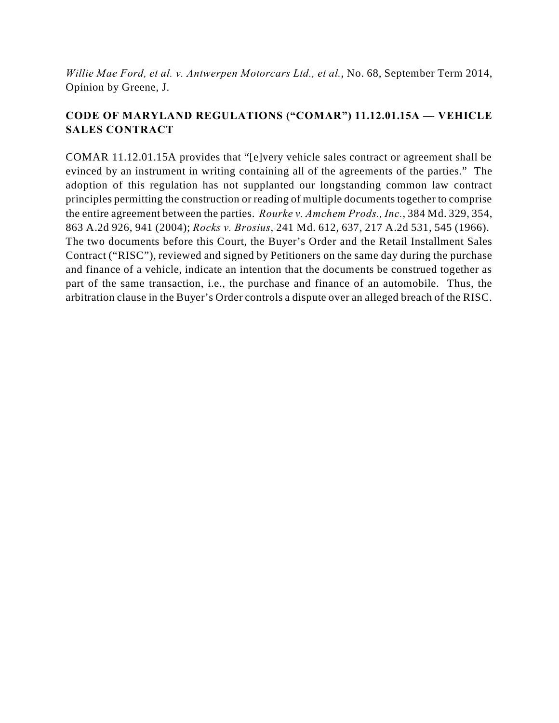*Willie Mae Ford, et al. v. Antwerpen Motorcars Ltd., et al.*, No. 68, September Term 2014, Opinion by Greene, J.

# **CODE OF MARYLAND REGULATIONS ("COMAR") 11.12.01.15A — VEHICLE SALES CONTRACT**

COMAR 11.12.01.15A provides that "[e]very vehicle sales contract or agreement shall be evinced by an instrument in writing containing all of the agreements of the parties." The adoption of this regulation has not supplanted our longstanding common law contract principles permitting the construction or reading of multiple documents together to comprise the entire agreement between the parties. *Rourke v. Amchem Prods., Inc.*, 384 Md. 329, 354, 863 A.2d 926, 941 (2004); *Rocks v. Brosius*, 241 Md. 612, 637, 217 A.2d 531, 545 (1966). The two documents before this Court, the Buyer's Order and the Retail Installment Sales Contract ("RISC"), reviewed and signed by Petitioners on the same day during the purchase and finance of a vehicle, indicate an intention that the documents be construed together as part of the same transaction, i.e., the purchase and finance of an automobile. Thus, the arbitration clause in the Buyer's Order controls a dispute over an alleged breach of the RISC.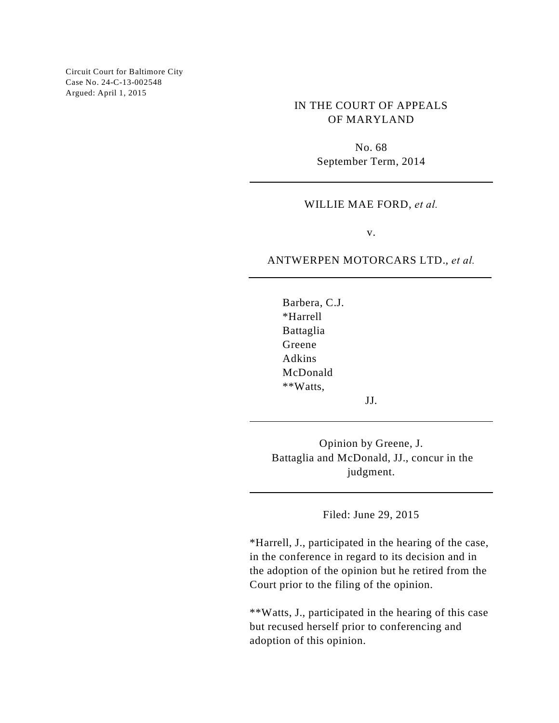Circuit Court for Baltimore City Case No. 24-C-13-002548 Argued: April 1, 2015

> IN THE COURT OF APPEALS OF MARYLAND

> > No. 68 September Term, 2014

#### WILLIE MAE FORD, *et al.*

v.

#### ANTWERPEN MOTORCARS LTD., *et al.*

Barbera, C.J. \*Harrell Battaglia Greene Adkins McDonald \*\*Watts,

JJ.

Opinion by Greene, J. Battaglia and McDonald, JJ., concur in the judgment.

Filed: June 29, 2015

\*Harrell, J., participated in the hearing of the case, in the conference in regard to its decision and in the adoption of the opinion but he retired from the Court prior to the filing of the opinion.

\*\*Watts, J., participated in the hearing of this case but recused herself prior to conferencing and adoption of this opinion.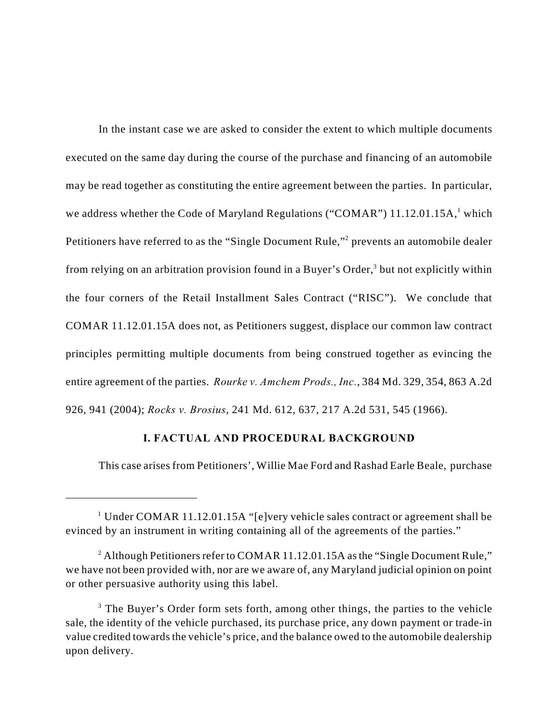In the instant case we are asked to consider the extent to which multiple documents executed on the same day during the course of the purchase and financing of an automobile may be read together as constituting the entire agreement between the parties. In particular, we address whether the Code of Maryland Regulations ("COMAR") 11.12.01.15A,<sup>1</sup> which Petitioners have referred to as the "Single Document Rule,"<sup>2</sup> prevents an automobile dealer from relying on an arbitration provision found in a Buyer's Order, $3$  but not explicitly within the four corners of the Retail Installment Sales Contract ("RISC"). We conclude that COMAR 11.12.01.15A does not, as Petitioners suggest, displace our common law contract principles permitting multiple documents from being construed together as evincing the entire agreement of the parties. *Rourke v. Amchem Prods., Inc.*, 384 Md. 329, 354, 863 A.2d 926, 941 (2004); *Rocks v. Brosius*, 241 Md. 612, 637, 217 A.2d 531, 545 (1966).

## **I. FACTUAL AND PROCEDURAL BACKGROUND**

This case arises from Petitioners', Willie Mae Ford and Rashad Earle Beale, purchase

<sup>&</sup>lt;sup>1</sup> Under COMAR 11.12.01.15A "[e]very vehicle sales contract or agreement shall be evinced by an instrument in writing containing all of the agreements of the parties."

<sup>&</sup>lt;sup>2</sup> Although Petitioners refer to COMAR 11.12.01.15A as the "Single Document Rule," we have not been provided with, nor are we aware of, any Maryland judicial opinion on point or other persuasive authority using this label.

 $3$  The Buyer's Order form sets forth, among other things, the parties to the vehicle sale, the identity of the vehicle purchased, its purchase price, any down payment or trade-in value credited towards the vehicle's price, and the balance owed to the automobile dealership upon delivery.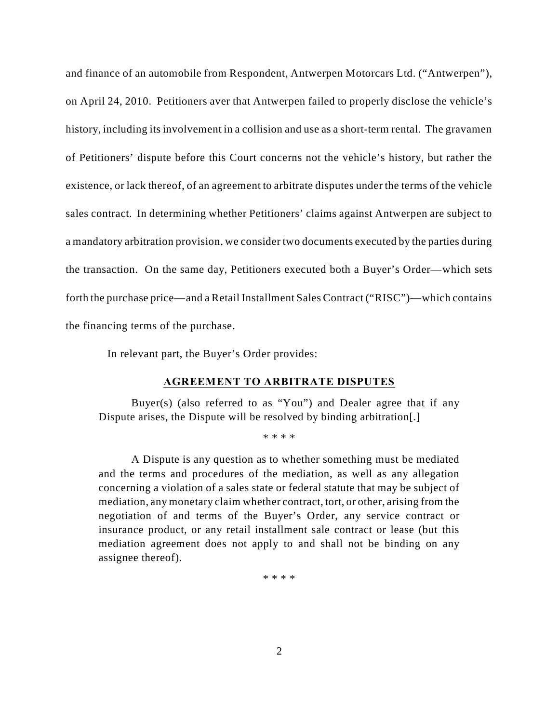and finance of an automobile from Respondent, Antwerpen Motorcars Ltd. ("Antwerpen"), on April 24, 2010. Petitioners aver that Antwerpen failed to properly disclose the vehicle's history, including its involvement in a collision and use as a short-term rental. The gravamen of Petitioners' dispute before this Court concerns not the vehicle's history, but rather the existence, or lack thereof, of an agreement to arbitrate disputes under the terms of the vehicle sales contract. In determining whether Petitioners' claims against Antwerpen are subject to a mandatory arbitration provision, we consider two documents executed by the parties during the transaction. On the same day, Petitioners executed both a Buyer's Order—which sets forth the purchase price—and a Retail Installment Sales Contract ("RISC")—which contains the financing terms of the purchase.

In relevant part, the Buyer's Order provides:

#### **AGREEMENT TO ARBITRATE DISPUTES**

Buyer(s) (also referred to as "You") and Dealer agree that if any Dispute arises, the Dispute will be resolved by binding arbitration[.]

\* \* \* \*

A Dispute is any question as to whether something must be mediated and the terms and procedures of the mediation, as well as any allegation concerning a violation of a sales state or federal statute that may be subject of mediation, any monetary claim whether contract, tort, or other, arising from the negotiation of and terms of the Buyer's Order, any service contract or insurance product, or any retail installment sale contract or lease (but this mediation agreement does not apply to and shall not be binding on any assignee thereof).

\* \* \* \*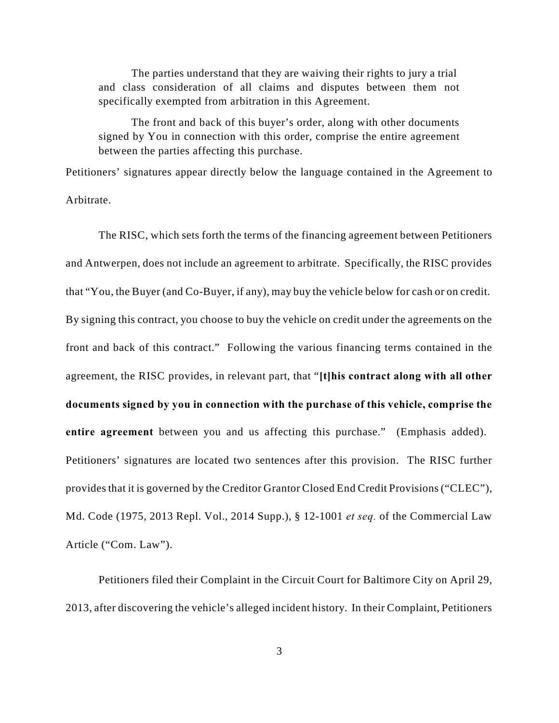The parties understand that they are waiving their rights to jury a trial and class consideration of all claims and disputes between them not specifically exempted from arbitration in this Agreement.

The front and back of this buyer's order, along with other documents signed by You in connection with this order, comprise the entire agreement between the parties affecting this purchase.

Petitioners' signatures appear directly below the language contained in the Agreement to Arbitrate.

The RISC, which sets forth the terms of the financing agreement between Petitioners and Antwerpen, does not include an agreement to arbitrate. Specifically, the RISC provides that "You, the Buyer (and Co-Buyer, if any), may buy the vehicle below for cash or on credit. By signing this contract, you choose to buy the vehicle on credit under the agreements on the front and back of this contract." Following the various financing terms contained in the agreement, the RISC provides, in relevant part, that "**[t]his contract along with all other documents signed by you in connection with the purchase of this vehicle, comprise the entire agreement** between you and us affecting this purchase." (Emphasis added). Petitioners' signatures are located two sentences after this provision. The RISC further provides that it is governed by the Creditor Grantor Closed End Credit Provisions ("CLEC"), Md. Code (1975, 2013 Repl. Vol., 2014 Supp.), § 12-1001 *et seq.* of the Commercial Law Article ("Com. Law").

Petitioners filed their Complaint in the Circuit Court for Baltimore City on April 29, 2013, after discovering the vehicle's alleged incident history. In their Complaint, Petitioners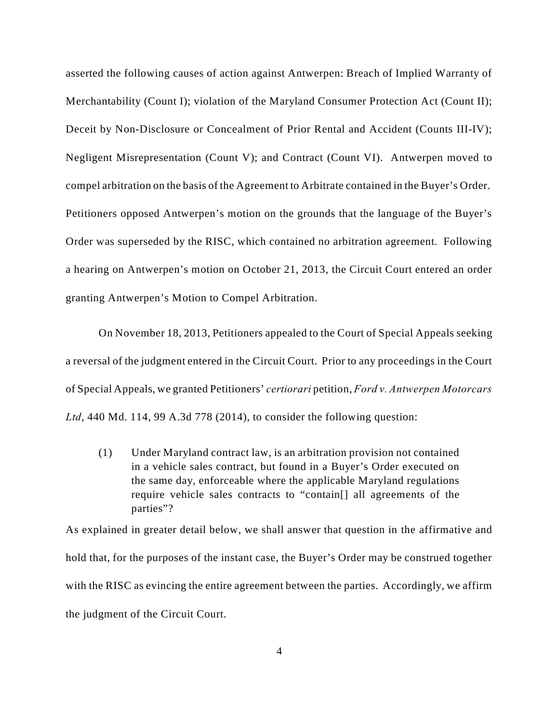asserted the following causes of action against Antwerpen: Breach of Implied Warranty of Merchantability (Count I); violation of the Maryland Consumer Protection Act (Count II); Deceit by Non-Disclosure or Concealment of Prior Rental and Accident (Counts III-IV); Negligent Misrepresentation (Count V); and Contract (Count VI). Antwerpen moved to compel arbitration on the basis of the Agreement to Arbitrate contained in the Buyer's Order. Petitioners opposed Antwerpen's motion on the grounds that the language of the Buyer's Order was superseded by the RISC, which contained no arbitration agreement. Following a hearing on Antwerpen's motion on October 21, 2013, the Circuit Court entered an order granting Antwerpen's Motion to Compel Arbitration.

On November 18, 2013, Petitioners appealed to the Court of Special Appeals seeking a reversal of the judgment entered in the Circuit Court. Prior to any proceedings in the Court of Special Appeals, we granted Petitioners' *certiorari* petition, *Ford v. Antwerpen Motorcars Ltd*, 440 Md. 114, 99 A.3d 778 (2014), to consider the following question:

(1) Under Maryland contract law, is an arbitration provision not contained in a vehicle sales contract, but found in a Buyer's Order executed on the same day, enforceable where the applicable Maryland regulations require vehicle sales contracts to "contain[] all agreements of the parties"?

As explained in greater detail below, we shall answer that question in the affirmative and hold that, for the purposes of the instant case, the Buyer's Order may be construed together with the RISC as evincing the entire agreement between the parties. Accordingly, we affirm the judgment of the Circuit Court.

4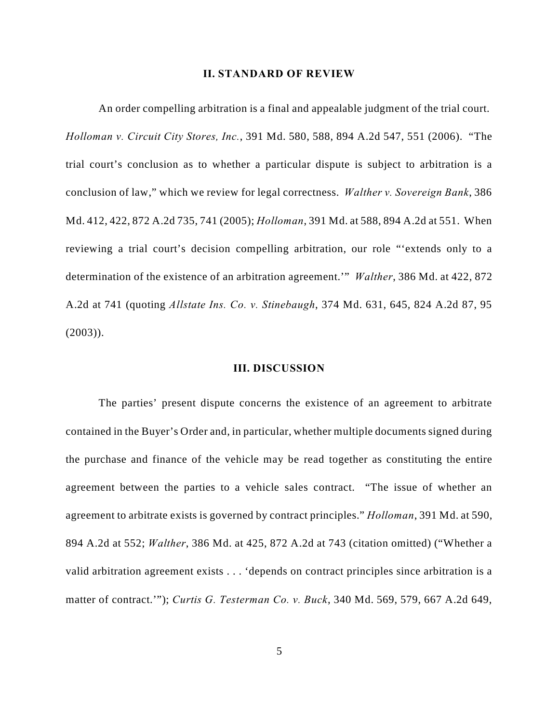#### **II. STANDARD OF REVIEW**

An order compelling arbitration is a final and appealable judgment of the trial court. *Holloman v. Circuit City Stores, Inc.*, 391 Md. 580, 588, 894 A.2d 547, 551 (2006). "The trial court's conclusion as to whether a particular dispute is subject to arbitration is a conclusion of law," which we review for legal correctness. *Walther v. Sovereign Bank*, 386 Md. 412, 422, 872 A.2d 735, 741 (2005); *Holloman*, 391 Md. at 588, 894 A.2d at 551. When reviewing a trial court's decision compelling arbitration, our role "'extends only to a determination of the existence of an arbitration agreement.'" *Walther*, 386 Md. at 422, 872 A.2d at 741 (quoting *Allstate Ins. Co. v. Stinebaugh*, 374 Md. 631, 645, 824 A.2d 87, 95 (2003)).

### **III. DISCUSSION**

The parties' present dispute concerns the existence of an agreement to arbitrate contained in the Buyer's Order and, in particular, whether multiple documents signed during the purchase and finance of the vehicle may be read together as constituting the entire agreement between the parties to a vehicle sales contract. "The issue of whether an agreement to arbitrate exists is governed by contract principles." *Holloman*, 391 Md. at 590, 894 A.2d at 552; *Walther*, 386 Md. at 425, 872 A.2d at 743 (citation omitted) ("Whether a valid arbitration agreement exists . . . 'depends on contract principles since arbitration is a matter of contract.'"); *Curtis G. Testerman Co. v. Buck*, 340 Md. 569, 579, 667 A.2d 649,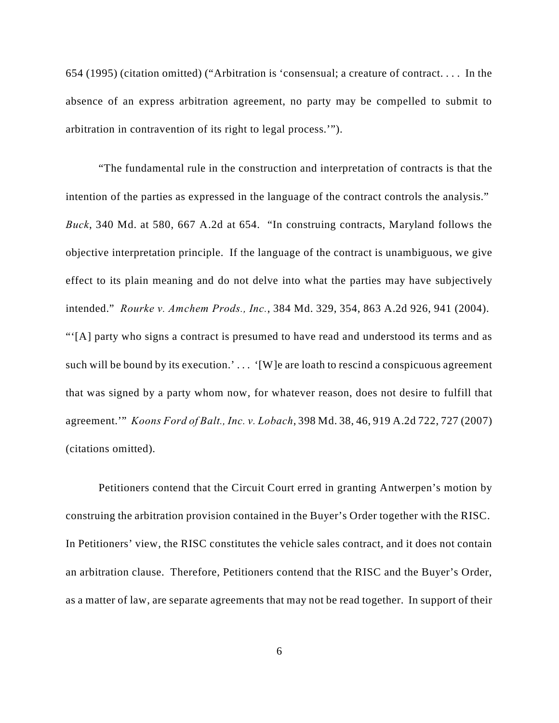654 (1995) (citation omitted) ("Arbitration is 'consensual; a creature of contract. . . . In the absence of an express arbitration agreement, no party may be compelled to submit to arbitration in contravention of its right to legal process.'").

"The fundamental rule in the construction and interpretation of contracts is that the intention of the parties as expressed in the language of the contract controls the analysis." *Buck*, 340 Md. at 580, 667 A.2d at 654. "In construing contracts, Maryland follows the objective interpretation principle. If the language of the contract is unambiguous, we give effect to its plain meaning and do not delve into what the parties may have subjectively intended." *Rourke v. Amchem Prods., Inc.*, 384 Md. 329, 354, 863 A.2d 926, 941 (2004). "'[A] party who signs a contract is presumed to have read and understood its terms and as such will be bound by its execution.'... '[W]e are loath to rescind a conspicuous agreement that was signed by a party whom now, for whatever reason, does not desire to fulfill that agreement.'" *Koons Ford of Balt., Inc. v. Lobach*, 398 Md. 38, 46, 919 A.2d 722, 727 (2007) (citations omitted).

Petitioners contend that the Circuit Court erred in granting Antwerpen's motion by construing the arbitration provision contained in the Buyer's Order together with the RISC. In Petitioners' view, the RISC constitutes the vehicle sales contract, and it does not contain an arbitration clause. Therefore, Petitioners contend that the RISC and the Buyer's Order, as a matter of law, are separate agreements that may not be read together. In support of their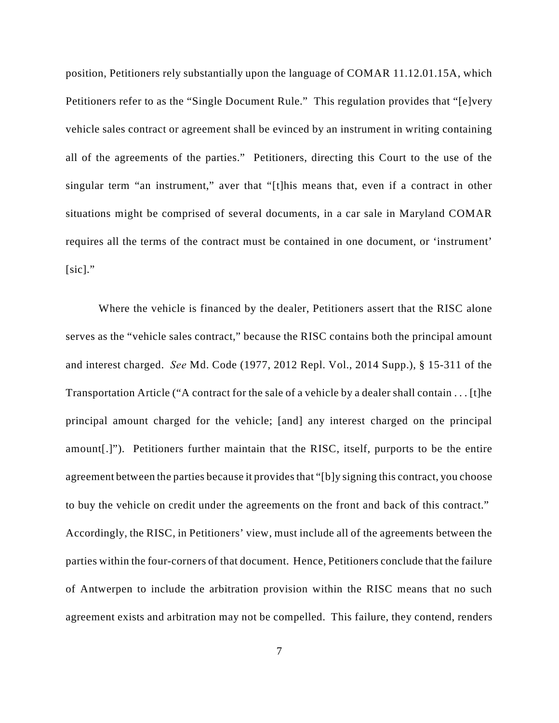position, Petitioners rely substantially upon the language of COMAR 11.12.01.15A, which Petitioners refer to as the "Single Document Rule." This regulation provides that "[e]very vehicle sales contract or agreement shall be evinced by an instrument in writing containing all of the agreements of the parties." Petitioners, directing this Court to the use of the singular term "an instrument," aver that "[t]his means that, even if a contract in other situations might be comprised of several documents, in a car sale in Maryland COMAR requires all the terms of the contract must be contained in one document, or 'instrument'  $[sic]$ ."

Where the vehicle is financed by the dealer, Petitioners assert that the RISC alone serves as the "vehicle sales contract," because the RISC contains both the principal amount and interest charged. *See* Md. Code (1977, 2012 Repl. Vol., 2014 Supp.), § 15-311 of the Transportation Article ("A contract for the sale of a vehicle by a dealer shall contain . . . [t]he principal amount charged for the vehicle; [and] any interest charged on the principal amount[.]"). Petitioners further maintain that the RISC, itself, purports to be the entire agreement between the parties because it provides that "[b]y signing this contract, you choose to buy the vehicle on credit under the agreements on the front and back of this contract." Accordingly, the RISC, in Petitioners' view, must include all of the agreements between the parties within the four-corners of that document. Hence, Petitioners conclude that the failure of Antwerpen to include the arbitration provision within the RISC means that no such agreement exists and arbitration may not be compelled. This failure, they contend, renders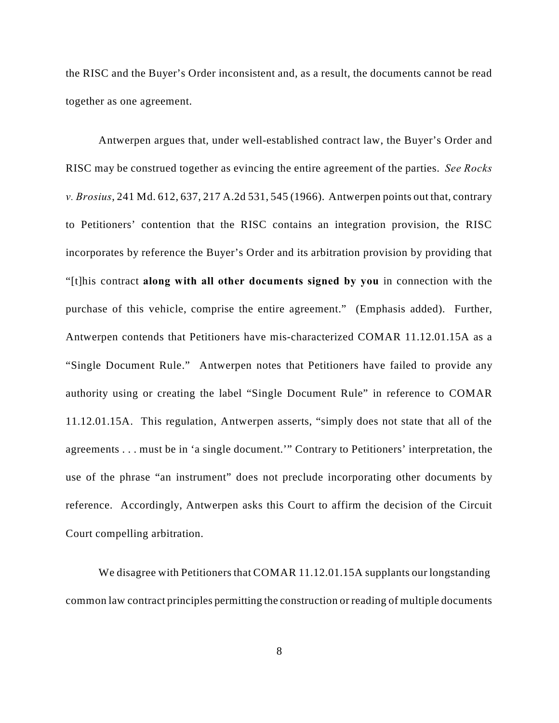the RISC and the Buyer's Order inconsistent and, as a result, the documents cannot be read together as one agreement.

Antwerpen argues that, under well-established contract law, the Buyer's Order and RISC may be construed together as evincing the entire agreement of the parties. *See Rocks v. Brosius*, 241 Md. 612, 637, 217 A.2d 531, 545 (1966). Antwerpen points out that, contrary to Petitioners' contention that the RISC contains an integration provision, the RISC incorporates by reference the Buyer's Order and its arbitration provision by providing that "[t]his contract **along with all other documents signed by you** in connection with the purchase of this vehicle, comprise the entire agreement." (Emphasis added). Further, Antwerpen contends that Petitioners have mis-characterized COMAR 11.12.01.15A as a "Single Document Rule." Antwerpen notes that Petitioners have failed to provide any authority using or creating the label "Single Document Rule" in reference to COMAR 11.12.01.15A. This regulation, Antwerpen asserts, "simply does not state that all of the agreements . . . must be in 'a single document.'" Contrary to Petitioners' interpretation, the use of the phrase "an instrument" does not preclude incorporating other documents by reference. Accordingly, Antwerpen asks this Court to affirm the decision of the Circuit Court compelling arbitration.

We disagree with Petitioners that COMAR 11.12.01.15A supplants our longstanding common law contract principles permitting the construction or reading of multiple documents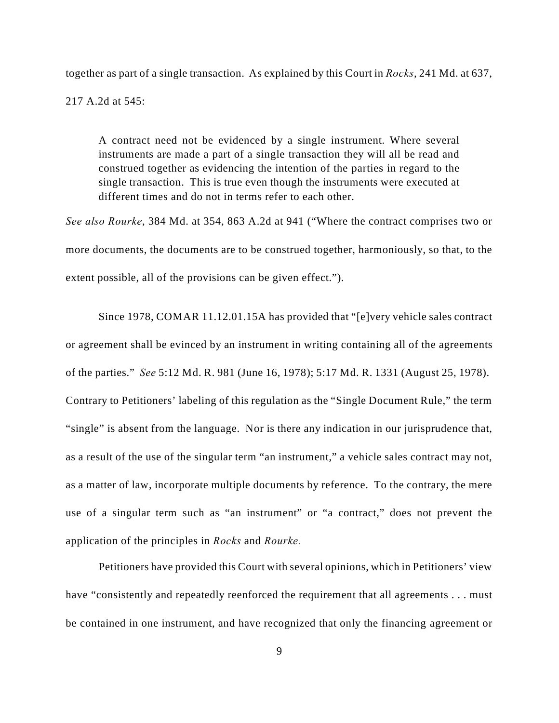together as part of a single transaction. As explained by this Court in *Rocks*, 241 Md. at 637,

217 A.2d at 545:

A contract need not be evidenced by a single instrument. Where several instruments are made a part of a single transaction they will all be read and construed together as evidencing the intention of the parties in regard to the single transaction. This is true even though the instruments were executed at different times and do not in terms refer to each other.

*See also Rourke*, 384 Md. at 354, 863 A.2d at 941 ("Where the contract comprises two or more documents, the documents are to be construed together, harmoniously, so that, to the extent possible, all of the provisions can be given effect.").

Since 1978, COMAR 11.12.01.15A has provided that "[e]very vehicle sales contract or agreement shall be evinced by an instrument in writing containing all of the agreements of the parties." *See* 5:12 Md. R. 981 (June 16, 1978); 5:17 Md. R. 1331 (August 25, 1978). Contrary to Petitioners' labeling of this regulation as the "Single Document Rule," the term "single" is absent from the language. Nor is there any indication in our jurisprudence that, as a result of the use of the singular term "an instrument," a vehicle sales contract may not, as a matter of law, incorporate multiple documents by reference. To the contrary, the mere use of a singular term such as "an instrument" or "a contract," does not prevent the application of the principles in *Rocks* and *Rourke.*

Petitioners have provided this Court with several opinions, which in Petitioners' view have "consistently and repeatedly reenforced the requirement that all agreements . . . must be contained in one instrument, and have recognized that only the financing agreement or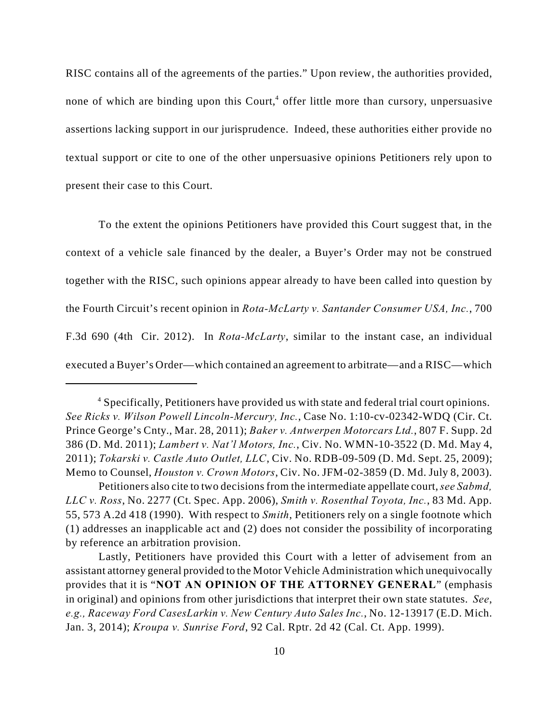RISC contains all of the agreements of the parties." Upon review, the authorities provided, none of which are binding upon this Court,<sup>4</sup> offer little more than cursory, unpersuasive assertions lacking support in our jurisprudence. Indeed, these authorities either provide no textual support or cite to one of the other unpersuasive opinions Petitioners rely upon to present their case to this Court.

To the extent the opinions Petitioners have provided this Court suggest that, in the context of a vehicle sale financed by the dealer, a Buyer's Order may not be construed together with the RISC, such opinions appear already to have been called into question by the Fourth Circuit's recent opinion in *Rota-McLarty v. Santander Consumer USA, Inc.*, 700 F.3d 690 (4th Cir. 2012). In *Rota-McLarty*, similar to the instant case, an individual executed a Buyer's Order—which contained an agreement to arbitrate—and a RISC—which

Specifically, Petitioners have provided us with state and federal trial court opinions. <sup>4</sup> *See Ricks v. Wilson Powell Lincoln-Mercury, Inc.*, Case No. 1:10-cv-02342-WDQ (Cir. Ct. Prince George's Cnty., Mar. 28, 2011); *Baker v. Antwerpen Motorcars Ltd.*, 807 F. Supp. 2d 386 (D. Md. 2011); *Lambert v. Nat'l Motors, Inc.*, Civ. No. WMN-10-3522 (D. Md. May 4, 2011); *Tokarski v. Castle Auto Outlet, LLC*, Civ. No. RDB-09-509 (D. Md. Sept. 25, 2009); Memo to Counsel, *Houston v. Crown Motors*, Civ. No. JFM-02-3859 (D. Md. July 8, 2003).

Petitioners also cite to two decisions from the intermediate appellate court, *see Sabmd, LLC v. Ross*, No. 2277 (Ct. Spec. App. 2006), *Smith v. Rosenthal Toyota, Inc.*, 83 Md. App. 55, 573 A.2d 418 (1990). With respect to *Smith*, Petitioners rely on a single footnote which (1) addresses an inapplicable act and (2) does not consider the possibility of incorporating by reference an arbitration provision.

Lastly, Petitioners have provided this Court with a letter of advisement from an assistant attorney general provided to the Motor Vehicle Administration which unequivocally provides that it is "**NOT AN OPINION OF THE ATTORNEY GENERAL**" (emphasis in original) and opinions from other jurisdictions that interpret their own state statutes. *See*, *e.g., Raceway Ford CasesLarkin v. New Century Auto Sales Inc.*, No. 12-13917 (E.D. Mich. Jan. 3, 2014); *Kroupa v. Sunrise Ford*, 92 Cal. Rptr. 2d 42 (Cal. Ct. App. 1999).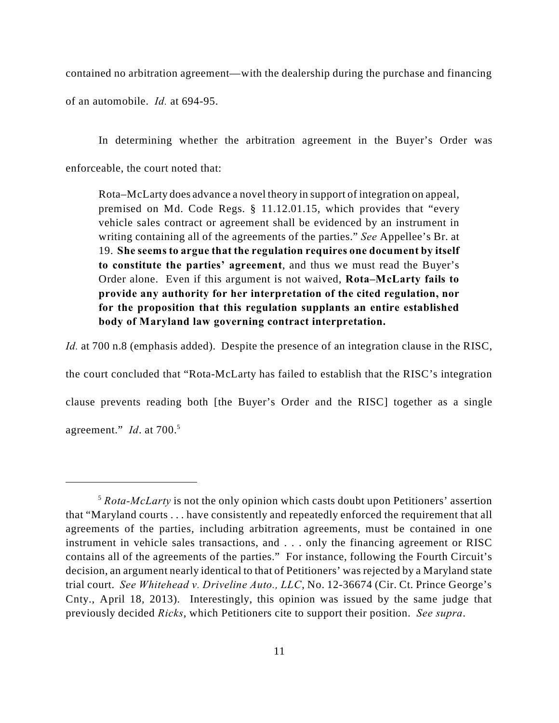contained no arbitration agreement—with the dealership during the purchase and financing

of an automobile. *Id.* at 694-95.

In determining whether the arbitration agreement in the Buyer's Order was enforceable, the court noted that:

Rota–McLarty does advance a novel theory in support of integration on appeal, premised on Md. Code Regs. § 11.12.01.15, which provides that "every vehicle sales contract or agreement shall be evidenced by an instrument in writing containing all of the agreements of the parties." *See* Appellee's Br. at 19. **She seems to argue that the regulation requires one document by itself to constitute the parties' agreement**, and thus we must read the Buyer's Order alone. Even if this argument is not waived, **Rota–McLarty fails to provide any authority for her interpretation of the cited regulation, nor for the proposition that this regulation supplants an entire established body of Maryland law governing contract interpretation.** 

*Id.* at 700 n.8 (emphasis added). Despite the presence of an integration clause in the RISC,

the court concluded that "Rota-McLarty has failed to establish that the RISC's integration clause prevents reading both [the Buyer's Order and the RISC] together as a single agreement." *Id.* at 700.<sup>5</sup>

<sup>&</sup>lt;sup>5</sup> Rota-McLarty is not the only opinion which casts doubt upon Petitioners' assertion that "Maryland courts . . . have consistently and repeatedly enforced the requirement that all agreements of the parties, including arbitration agreements, must be contained in one instrument in vehicle sales transactions, and . . . only the financing agreement or RISC contains all of the agreements of the parties." For instance, following the Fourth Circuit's decision, an argument nearly identical to that of Petitioners' was rejected by a Maryland state trial court. *See Whitehead v. Driveline Auto., LLC*, No. 12-36674 (Cir. Ct. Prince George's Cnty., April 18, 2013). Interestingly, this opinion was issued by the same judge that previously decided *Ricks*, which Petitioners cite to support their position. *See supra*.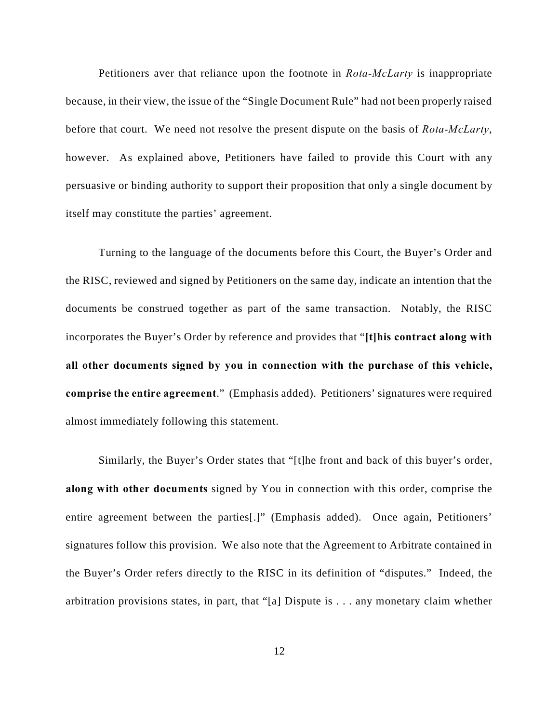Petitioners aver that reliance upon the footnote in *Rota-McLarty* is inappropriate because, in their view, the issue of the "Single Document Rule" had not been properly raised before that court. We need not resolve the present dispute on the basis of *Rota-McLarty*, however. As explained above, Petitioners have failed to provide this Court with any persuasive or binding authority to support their proposition that only a single document by itself may constitute the parties' agreement.

Turning to the language of the documents before this Court, the Buyer's Order and the RISC, reviewed and signed by Petitioners on the same day, indicate an intention that the documents be construed together as part of the same transaction. Notably, the RISC incorporates the Buyer's Order by reference and provides that "**[t]his contract along with all other documents signed by you in connection with the purchase of this vehicle, comprise the entire agreement**." (Emphasis added). Petitioners' signatures were required almost immediately following this statement.

Similarly, the Buyer's Order states that "[t]he front and back of this buyer's order, **along with other documents** signed by You in connection with this order, comprise the entire agreement between the parties[.]" (Emphasis added). Once again, Petitioners' signatures follow this provision. We also note that the Agreement to Arbitrate contained in the Buyer's Order refers directly to the RISC in its definition of "disputes." Indeed, the arbitration provisions states, in part, that "[a] Dispute is . . . any monetary claim whether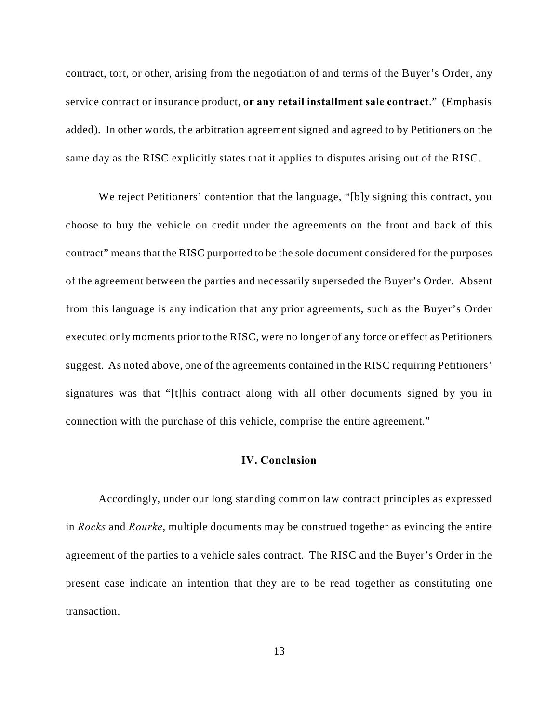contract, tort, or other, arising from the negotiation of and terms of the Buyer's Order, any service contract or insurance product, **or any retail installment sale contract**." (Emphasis added). In other words, the arbitration agreement signed and agreed to by Petitioners on the same day as the RISC explicitly states that it applies to disputes arising out of the RISC.

We reject Petitioners' contention that the language, "[b]y signing this contract, you choose to buy the vehicle on credit under the agreements on the front and back of this contract" means that the RISC purported to be the sole document considered for the purposes of the agreement between the parties and necessarily superseded the Buyer's Order. Absent from this language is any indication that any prior agreements, such as the Buyer's Order executed only moments prior to the RISC, were no longer of any force or effect as Petitioners suggest. As noted above, one of the agreements contained in the RISC requiring Petitioners' signatures was that "[t]his contract along with all other documents signed by you in connection with the purchase of this vehicle, comprise the entire agreement."

#### **IV. Conclusion**

Accordingly, under our long standing common law contract principles as expressed in *Rocks* and *Rourke*, multiple documents may be construed together as evincing the entire agreement of the parties to a vehicle sales contract. The RISC and the Buyer's Order in the present case indicate an intention that they are to be read together as constituting one transaction.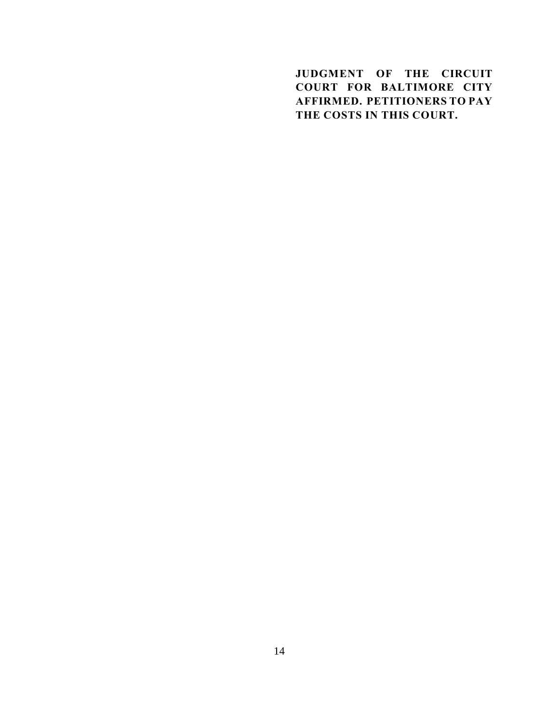**JUDGMENT OF THE CIRCUIT COURT FOR BALTIMORE CITY AFFIRMED. PETITIONERS TO PAY THE COSTS IN THIS COURT.**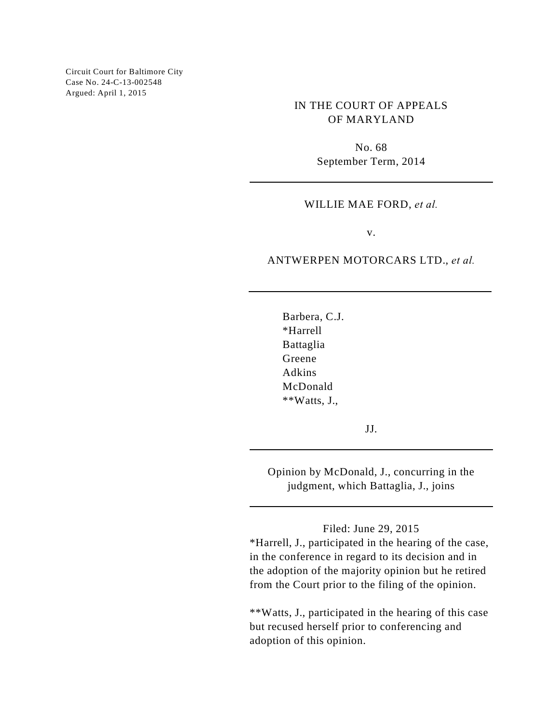Circuit Court for Baltimore City Case No. 24-C-13-002548 Argued: April 1, 2015

> IN THE COURT OF APPEALS OF MARYLAND

> > No. 68 September Term, 2014

#### WILLIE MAE FORD, *et al.*

v.

### ANTWERPEN MOTORCARS LTD., *et al.*

Barbera, C.J. \*Harrell Battaglia Greene Adkins McDonald \*\*Watts, J.,

JJ.

Opinion by McDonald, J., concurring in the judgment, which Battaglia, J., joins

## Filed: June 29, 2015

\*Harrell, J., participated in the hearing of the case, in the conference in regard to its decision and in the adoption of the majority opinion but he retired from the Court prior to the filing of the opinion.

\*\*Watts, J., participated in the hearing of this case but recused herself prior to conferencing and adoption of this opinion.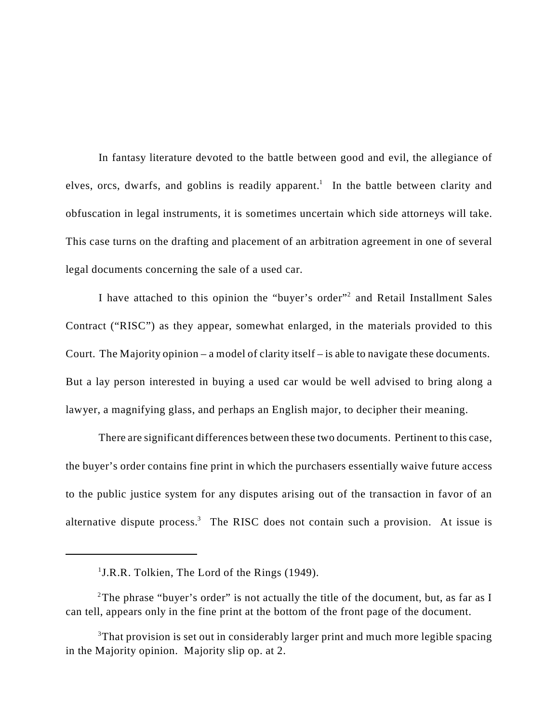In fantasy literature devoted to the battle between good and evil, the allegiance of elves, orcs, dwarfs, and goblins is readily apparent.<sup>1</sup> In the battle between clarity and obfuscation in legal instruments, it is sometimes uncertain which side attorneys will take. This case turns on the drafting and placement of an arbitration agreement in one of several legal documents concerning the sale of a used car.

I have attached to this opinion the "buyer's order"<sup>2</sup> and Retail Installment Sales Contract ("RISC") as they appear, somewhat enlarged, in the materials provided to this Court. The Majority opinion – a model of clarity itself – is able to navigate these documents. But a lay person interested in buying a used car would be well advised to bring along a lawyer, a magnifying glass, and perhaps an English major, to decipher their meaning.

There are significant differences between these two documents. Pertinent to this case, the buyer's order contains fine print in which the purchasers essentially waive future access to the public justice system for any disputes arising out of the transaction in favor of an alternative dispute process.<sup>3</sup> The RISC does not contain such a provision. At issue is

 $<sup>1</sup>J.R.R.$  Tolkien, The Lord of the Rings (1949).</sup>

<sup>&</sup>lt;sup>2</sup>The phrase "buyer's order" is not actually the title of the document, but, as far as I can tell, appears only in the fine print at the bottom of the front page of the document.

<sup>&</sup>lt;sup>3</sup>That provision is set out in considerably larger print and much more legible spacing in the Majority opinion. Majority slip op. at 2.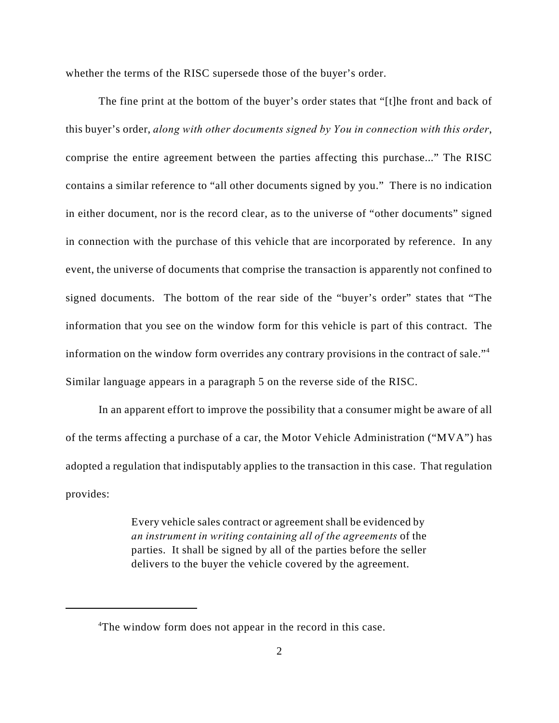whether the terms of the RISC supersede those of the buyer's order.

The fine print at the bottom of the buyer's order states that "[t]he front and back of this buyer's order, *along with other documents signed by You in connection with this order*, comprise the entire agreement between the parties affecting this purchase..." The RISC contains a similar reference to "all other documents signed by you." There is no indication in either document, nor is the record clear, as to the universe of "other documents" signed in connection with the purchase of this vehicle that are incorporated by reference. In any event, the universe of documents that comprise the transaction is apparently not confined to signed documents. The bottom of the rear side of the "buyer's order" states that "The information that you see on the window form for this vehicle is part of this contract. The information on the window form overrides any contrary provisions in the contract of sale."<sup>4</sup> Similar language appears in a paragraph 5 on the reverse side of the RISC.

In an apparent effort to improve the possibility that a consumer might be aware of all of the terms affecting a purchase of a car, the Motor Vehicle Administration ("MVA") has adopted a regulation that indisputably applies to the transaction in this case. That regulation provides:

> Every vehicle sales contract or agreement shall be evidenced by *an instrument in writing containing all of the agreements* of the parties. It shall be signed by all of the parties before the seller delivers to the buyer the vehicle covered by the agreement.

<sup>&</sup>lt;sup>4</sup>The window form does not appear in the record in this case.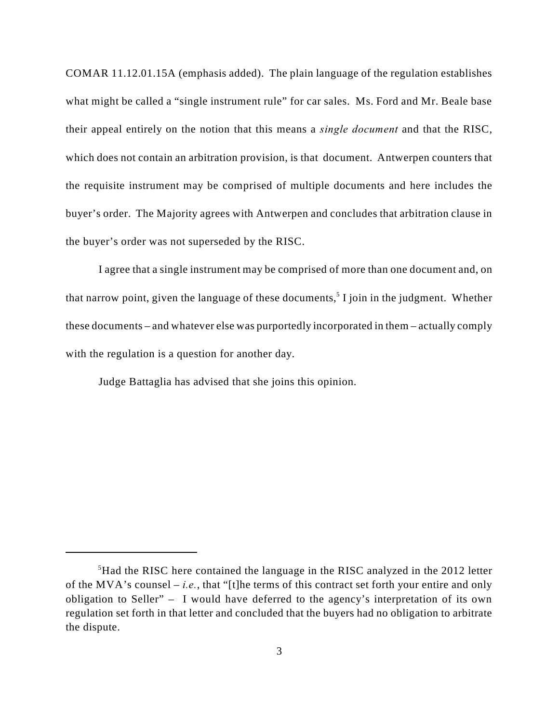COMAR 11.12.01.15A (emphasis added). The plain language of the regulation establishes what might be called a "single instrument rule" for car sales. Ms. Ford and Mr. Beale base their appeal entirely on the notion that this means a *single document* and that the RISC, which does not contain an arbitration provision, is that document. Antwerpen counters that the requisite instrument may be comprised of multiple documents and here includes the buyer's order. The Majority agrees with Antwerpen and concludes that arbitration clause in the buyer's order was not superseded by the RISC.

I agree that a single instrument may be comprised of more than one document and, on that narrow point, given the language of these documents,<sup>5</sup> I join in the judgment. Whether these documents – and whatever else was purportedly incorporated in them – actually comply with the regulation is a question for another day.

Judge Battaglia has advised that she joins this opinion.

 ${}^{5}$ Had the RISC here contained the language in the RISC analyzed in the 2012 letter of the MVA's counsel – *i.e.*, that "[t]he terms of this contract set forth your entire and only obligation to Seller" – I would have deferred to the agency's interpretation of its own regulation set forth in that letter and concluded that the buyers had no obligation to arbitrate the dispute.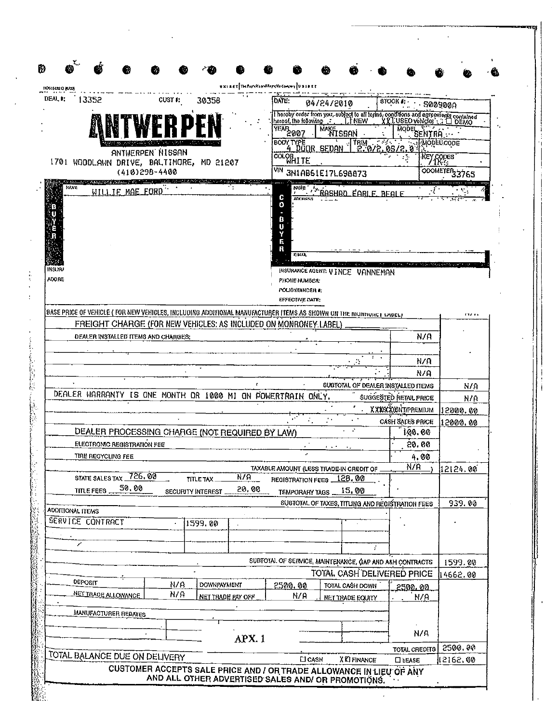| DEAL I;<br>13352                                                                                                          | CUST I:          | 30358                                           | DATE:                                                                    | 04/24/2010                                      |                    | 8100K                              | <b>S00900A</b>            |
|---------------------------------------------------------------------------------------------------------------------------|------------------|-------------------------------------------------|--------------------------------------------------------------------------|-------------------------------------------------|--------------------|------------------------------------|---------------------------|
|                                                                                                                           |                  |                                                 |                                                                          |                                                 |                    |                                    |                           |
|                                                                                                                           |                  |                                                 | VEAR 2007                                                                | MAKE<br>MISSAN                                  |                    |                                    |                           |
|                                                                                                                           |                  |                                                 | BODY TYPE                                                                | <b>TRIM</b>                                     |                    | SENTRA :                           | Mođel:Code                |
|                                                                                                                           | ANTWERPEN NISSAN |                                                 | 4 DOOR.<br><b>COLOR LITE</b>                                             | SEDAN                                           |                    |                                    | KEY GODES                 |
| 1701 WOODLAWN DRIVE, BALTIMORE, MD 21207                                                                                  | (410)298-4400    |                                                 |                                                                          |                                                 |                    |                                    | ODOMETER <sub>33765</sub> |
|                                                                                                                           |                  |                                                 |                                                                          | VIN 3N1AB61E17L698873                           |                    |                                    |                           |
| NAVE<br>WILLIE MAE FORD                                                                                                   |                  |                                                 | fane :<br>C<br><b>JUDRESS</b>                                            |                                                 | <u>earle Beale</u> |                                    |                           |
| IKSIAI<br><b>ADORE</b>                                                                                                    |                  |                                                 | ۰<br>в<br>Œ<br>н<br>R<br>701<br><b>PHONE NUMBER:</b><br>POLICY/BINDER #: | INSURANCE AGENT: VINCE VANNEMAN                 |                    |                                    |                           |
|                                                                                                                           |                  |                                                 | EFFECTIVE DATE:                                                          |                                                 |                    |                                    |                           |
| BASE PRICE OF VEHICLE ( FOR NE <u>W VEHICLES, INCLUDING ADDITIONAL MANUFACTURER ITEMS AS SHOWN ON THE MUNDURET LABELF</u> |                  |                                                 |                                                                          |                                                 |                    |                                    | र पहाडा                   |
| FREIGHT CHARGE (FOR NEW VEHICLES: AS INCLUDED ON MONRONEY.LABEL)                                                          |                  |                                                 |                                                                          |                                                 |                    |                                    |                           |
| DEALER INSTALLED ITEMS AND CHARGES;                                                                                       |                  |                                                 |                                                                          |                                                 |                    | N/A                                |                           |
|                                                                                                                           |                  |                                                 |                                                                          |                                                 |                    |                                    |                           |
|                                                                                                                           |                  |                                                 |                                                                          |                                                 |                    | N/A<br>N/A                         |                           |
|                                                                                                                           |                  |                                                 |                                                                          |                                                 |                    | SUBTOTAL OF DEALER INSTALLED ITEMS | N/A                       |
| DEALER WARRANTY IS ONE MONTH OR 1000 MI ON POWERTRAIN ONLY.                                                               |                  |                                                 |                                                                          |                                                 |                    | SUGGESTED HETAIL PRICE             | N/A                       |
|                                                                                                                           |                  |                                                 |                                                                          |                                                 |                    | XXXXXXXXIPREMIUM                   | 12000.00                  |
|                                                                                                                           |                  |                                                 |                                                                          |                                                 |                    | <b>CASH SALES PRICE</b>            | 12000.00                  |
| DEALER PROCESSING CHARGE (NOT REQUIRED BY LAW)                                                                            |                  |                                                 |                                                                          |                                                 |                    | 100.00                             |                           |
| <b>ELECTROMC REGISTRATION FEE</b>                                                                                         |                  |                                                 |                                                                          |                                                 |                    | 20.00                              |                           |
| TIRE RECYCLING FEE                                                                                                        |                  |                                                 |                                                                          |                                                 |                    | 4.00                               |                           |
| STATE SALES TAX 726.00                                                                                                    |                  | $\overline{N/A}$                                | TAXABLE AMOUNT (LESS TRADE IN CREDIT OF                                  |                                                 |                    | <u>N/H</u>                         | 12124.00                  |
| 50.00<br>TITLE FEES.                                                                                                      |                  | TITLE TAX.<br>20.00<br><b>SECUPITY INTEREST</b> | <b>REGISTRATION FEES _</b>                                               | <u> 128.00 </u><br>15.00                        |                    |                                    |                           |
|                                                                                                                           |                  |                                                 | TEMPORARY TAGS                                                           | SUBTOTAL OF TAXES, TITUNG AND REGISTRATION FEES |                    |                                    | 939.00                    |
| ADDITIONAL ITEMS                                                                                                          |                  |                                                 |                                                                          |                                                 |                    |                                    |                           |
| <b>JERVICE CONTRACT</b>                                                                                                   |                  | 1599.00                                         |                                                                          |                                                 |                    |                                    |                           |
|                                                                                                                           |                  |                                                 |                                                                          |                                                 |                    |                                    |                           |
| ╭                                                                                                                         |                  |                                                 |                                                                          |                                                 |                    |                                    |                           |
|                                                                                                                           |                  |                                                 | SUBTOTAL OF SERVICE, MAINTENANCE, GAP AND A&H CONTRACTS                  |                                                 |                    |                                    | 1599.00                   |
| DEPORIT                                                                                                                   |                  |                                                 |                                                                          | TOTAL CASH DELIVERED PRICE                      |                    |                                    | 14662.00                  |
| <u>NET TRADE ALLOWANCE</u>                                                                                                | N/A<br>N/A       | DOWNPAYMENT                                     | 2500.00                                                                  | TOTAL CASH DOWN                                 |                    | <u>2500.00</u>                     |                           |
|                                                                                                                           |                  | NET TRADE PAY OFF                               | N/A                                                                      | <b>NET TRADE EQUITY</b>                         |                    | N/P                                |                           |
| <b>MANUFACTURER REBATES</b>                                                                                               |                  |                                                 |                                                                          |                                                 |                    |                                    |                           |
|                                                                                                                           |                  |                                                 |                                                                          |                                                 |                    | N/R                                |                           |
|                                                                                                                           |                  | APX <sub>1</sub>                                |                                                                          |                                                 |                    |                                    |                           |
| TOTAL BALANCE DUE ON DELIVERY                                                                                             |                  |                                                 | <b>LI</b> CASH                                                           | <b>XKIFINANCE</b>                               |                    | TOTAL CREDITS<br><b>CIEASE</b>     | 2500.00<br>12162.00       |
|                                                                                                                           |                  |                                                 |                                                                          |                                                 |                    |                                    |                           |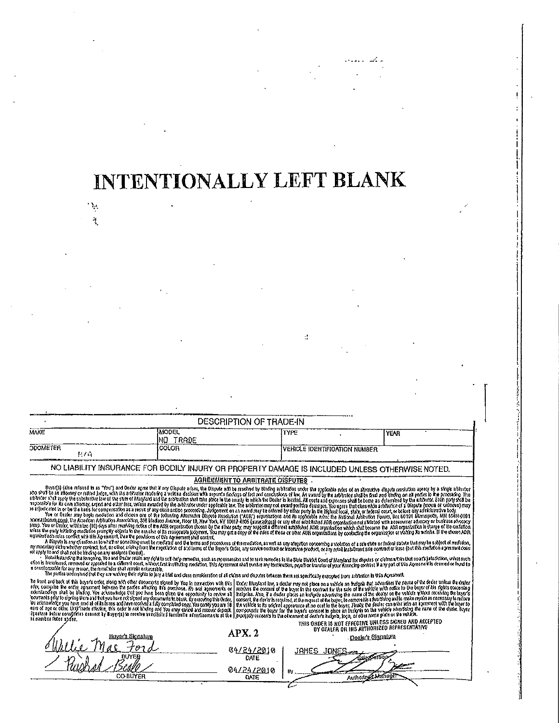# INTENTIONALLY LEFT BLANK

 $\langle \frac{1}{2} \rangle$  .

 $\ddot{\phantom{1}}$ 

|                                                                                                                                                                                                                                                                                                                                                                                                                                                                                                                                                                                                                                                                                                                                                                                                                                                                                                                                                                                                                                                                                                                                                                                                                                                                                                                                                                                                                                                                                                                                                                                                                                                                                                                                                                                                                                                                                                                                                                                                                                                                                                                                                                                                                                                                                                                                                                                                                                                                                                                                                                                                                                                                                                                                                                                                                                                                                                                                                                                                                                                                                                                                                                                                                                                                                                                                                                                                                                                                                                                                                                                                                                                                                                                                                                                                                                                                                                     |                    | <b>DESCRIPTION OF TRADE-IN</b>          |                                      |                                            |                                                        |
|-----------------------------------------------------------------------------------------------------------------------------------------------------------------------------------------------------------------------------------------------------------------------------------------------------------------------------------------------------------------------------------------------------------------------------------------------------------------------------------------------------------------------------------------------------------------------------------------------------------------------------------------------------------------------------------------------------------------------------------------------------------------------------------------------------------------------------------------------------------------------------------------------------------------------------------------------------------------------------------------------------------------------------------------------------------------------------------------------------------------------------------------------------------------------------------------------------------------------------------------------------------------------------------------------------------------------------------------------------------------------------------------------------------------------------------------------------------------------------------------------------------------------------------------------------------------------------------------------------------------------------------------------------------------------------------------------------------------------------------------------------------------------------------------------------------------------------------------------------------------------------------------------------------------------------------------------------------------------------------------------------------------------------------------------------------------------------------------------------------------------------------------------------------------------------------------------------------------------------------------------------------------------------------------------------------------------------------------------------------------------------------------------------------------------------------------------------------------------------------------------------------------------------------------------------------------------------------------------------------------------------------------------------------------------------------------------------------------------------------------------------------------------------------------------------------------------------------------------------------------------------------------------------------------------------------------------------------------------------------------------------------------------------------------------------------------------------------------------------------------------------------------------------------------------------------------------------------------------------------------------------------------------------------------------------------------------------------------------------------------------------------------------------------------------------------------------------------------------------------------------------------------------------------------------------------------------------------------------------------------------------------------------------------------------------------------------------------------------------------------------------------------------------------------------------------------------------------------------------------------------------------------------------|--------------------|-----------------------------------------|--------------------------------------|--------------------------------------------|--------------------------------------------------------|
| NAKE                                                                                                                                                                                                                                                                                                                                                                                                                                                                                                                                                                                                                                                                                                                                                                                                                                                                                                                                                                                                                                                                                                                                                                                                                                                                                                                                                                                                                                                                                                                                                                                                                                                                                                                                                                                                                                                                                                                                                                                                                                                                                                                                                                                                                                                                                                                                                                                                                                                                                                                                                                                                                                                                                                                                                                                                                                                                                                                                                                                                                                                                                                                                                                                                                                                                                                                                                                                                                                                                                                                                                                                                                                                                                                                                                                                                                                                                                                | MODEL<br>INO TRADE |                                         | TYPE                                 |                                            | YEAR                                                   |
| <b>ODOMETER</b><br>科方向                                                                                                                                                                                                                                                                                                                                                                                                                                                                                                                                                                                                                                                                                                                                                                                                                                                                                                                                                                                                                                                                                                                                                                                                                                                                                                                                                                                                                                                                                                                                                                                                                                                                                                                                                                                                                                                                                                                                                                                                                                                                                                                                                                                                                                                                                                                                                                                                                                                                                                                                                                                                                                                                                                                                                                                                                                                                                                                                                                                                                                                                                                                                                                                                                                                                                                                                                                                                                                                                                                                                                                                                                                                                                                                                                                                                                                                                              | COLOR              |                                         | <b>VEHICLE IDENTIFICATION NUMBER</b> |                                            |                                                        |
| NO LIABILITY INSURANCE FOR BODILY INJURY OR PROPERTY DAMAGE IS INCLUDED UNLESS OTHERWISE NOTED.                                                                                                                                                                                                                                                                                                                                                                                                                                                                                                                                                                                                                                                                                                                                                                                                                                                                                                                                                                                                                                                                                                                                                                                                                                                                                                                                                                                                                                                                                                                                                                                                                                                                                                                                                                                                                                                                                                                                                                                                                                                                                                                                                                                                                                                                                                                                                                                                                                                                                                                                                                                                                                                                                                                                                                                                                                                                                                                                                                                                                                                                                                                                                                                                                                                                                                                                                                                                                                                                                                                                                                                                                                                                                                                                                                                                     |                    |                                         |                                      |                                            |                                                        |
|                                                                                                                                                                                                                                                                                                                                                                                                                                                                                                                                                                                                                                                                                                                                                                                                                                                                                                                                                                                                                                                                                                                                                                                                                                                                                                                                                                                                                                                                                                                                                                                                                                                                                                                                                                                                                                                                                                                                                                                                                                                                                                                                                                                                                                                                                                                                                                                                                                                                                                                                                                                                                                                                                                                                                                                                                                                                                                                                                                                                                                                                                                                                                                                                                                                                                                                                                                                                                                                                                                                                                                                                                                                                                                                                                                                                                                                                                                     |                    | <b>AGREEMENT TO ARBITRATE DISPUTES.</b> |                                      |                                            |                                                        |
| ioditive space of vase recursor expend to be the consider the model of the model of the model of the model was one of the model of the model of the consideration of the consideration of the consideration of the considerati<br>uptrior sixt per be symmetrie of the state of Mayard and the thousand the beach of the couple of the basic is receiped in costs and the second belong as celephia by the action and the second by the action of the second by<br>exploit in the Us bas for consecutive as a search of the section of the section of a section of the section of the section of the section of the section of the section of the section of the section of the section of the se<br>You er Dazke way been excellen and choss one of the following Abertain Disorde Rickfurch (AOR) equivalence and the section beauto and the section form, but 60191 Monapolis, MN 85940191<br>WARADSCOPLED IN A MARCH 100 (250 UNIVERSITY ASSAULT AND A MARCH 100 LANDSCOPLED A III ONE GEHEAN AND COMERT OF LEGION WAS LONGING TO ONLY AS A SURVEY OF DUPLER AND COMERT OF LAND AND LONGING TO COMPANY OF DUPLER AND COMPAN<br>100). You or Date: with the flo) dos after mothy next of the AUR organized observed by the start, may use and main a man and the date of the company of the costation of the costation of the costation of the costation<br>to tes the con-locating mention forcely events of the section of its reservation for the company of the control of the company of control of the country the country the country the country the country of a country the coun<br>Housing foods roles conflet with this Apearities, then the provisions of this Apreement shall control.<br>A liseds is an educant to wat it semility mot be noted as it of the semilestic section and as any argum concently a voltime of a substate of local same union to solved dimension,<br>m monthy thin which council let or other robot from it is needed of a column of the Sove of the unit control or hearing probel, or in real best on the basement or hearing the basement of hearing the security of the board o<br>nt apply to and shall not be blocking on any assigned Cerebol).<br>how hours of the world, You as Date and any old to sel help amons, such as more seem and to see the base of the Usefall of depths of career in the coal in the coal in the coal in the coal in the coal in the coal in the coa<br>con is transfer to the definition of the control of the control of the control of the control of the control of the control of the fight of the control of the control of the control of the control of the control of the con<br>a theologicable for any reason, the remainder shall come a enforces ble.<br>The public understand that they are waiving their top of the and data condition of a distribution of the state of each of people of the low and specifically exampled from antipolor in this Accumult<br>To knot when of the basic met doop not covered spool by You in overdoop white   Uncer Haptar law a dealer my not show on a relief and height and the securities be remaind the data units of eater the state of the data which<br>the contrast is eith interest shown in outles alway its contrast. In our appearance of I reduced of the plane that is the said of a reduce to the words to be bound its followed the contrast is the same of the same of the s<br>we consider the new and the constant of the constant of the constant of the constant of the constant of the constant of the constant of the constant of the constant of the constant of the constant of the constant of the co<br>the property of the control of the control of the control of the control of the control of the control of the control of the control of the control of the control of the control of the control of the control of the control |                    |                                         |                                      |                                            |                                                        |
| Expanter fisted above.                                                                                                                                                                                                                                                                                                                                                                                                                                                                                                                                                                                                                                                                                                                                                                                                                                                                                                                                                                                                                                                                                                                                                                                                                                                                                                                                                                                                                                                                                                                                                                                                                                                                                                                                                                                                                                                                                                                                                                                                                                                                                                                                                                                                                                                                                                                                                                                                                                                                                                                                                                                                                                                                                                                                                                                                                                                                                                                                                                                                                                                                                                                                                                                                                                                                                                                                                                                                                                                                                                                                                                                                                                                                                                                                                                                                                                                                              |                    | APX. 2                                  |                                      | BY DEALER OR HIS AUTHORIZED REPRESENTATIVE | THIS ORDER IS NOT EFFECTIVE UNLESS SIGNED AND ACCEPTED |
| Buvars Signatura<br>דידו                                                                                                                                                                                                                                                                                                                                                                                                                                                                                                                                                                                                                                                                                                                                                                                                                                                                                                                                                                                                                                                                                                                                                                                                                                                                                                                                                                                                                                                                                                                                                                                                                                                                                                                                                                                                                                                                                                                                                                                                                                                                                                                                                                                                                                                                                                                                                                                                                                                                                                                                                                                                                                                                                                                                                                                                                                                                                                                                                                                                                                                                                                                                                                                                                                                                                                                                                                                                                                                                                                                                                                                                                                                                                                                                                                                                                                                                            |                    |                                         |                                      | . <u>Dealer's Signatore</u>                |                                                        |
| <b>BUYER</b>                                                                                                                                                                                                                                                                                                                                                                                                                                                                                                                                                                                                                                                                                                                                                                                                                                                                                                                                                                                                                                                                                                                                                                                                                                                                                                                                                                                                                                                                                                                                                                                                                                                                                                                                                                                                                                                                                                                                                                                                                                                                                                                                                                                                                                                                                                                                                                                                                                                                                                                                                                                                                                                                                                                                                                                                                                                                                                                                                                                                                                                                                                                                                                                                                                                                                                                                                                                                                                                                                                                                                                                                                                                                                                                                                                                                                                                                                        |                    | 04/24/2010<br>DATE                      | JAMES JONES                          | SdezSei                                    |                                                        |
| CO-BUYER                                                                                                                                                                                                                                                                                                                                                                                                                                                                                                                                                                                                                                                                                                                                                                                                                                                                                                                                                                                                                                                                                                                                                                                                                                                                                                                                                                                                                                                                                                                                                                                                                                                                                                                                                                                                                                                                                                                                                                                                                                                                                                                                                                                                                                                                                                                                                                                                                                                                                                                                                                                                                                                                                                                                                                                                                                                                                                                                                                                                                                                                                                                                                                                                                                                                                                                                                                                                                                                                                                                                                                                                                                                                                                                                                                                                                                                                                            |                    | 04/24/2010<br>DATE                      | By                                   | Authorized Manager                         |                                                        |
|                                                                                                                                                                                                                                                                                                                                                                                                                                                                                                                                                                                                                                                                                                                                                                                                                                                                                                                                                                                                                                                                                                                                                                                                                                                                                                                                                                                                                                                                                                                                                                                                                                                                                                                                                                                                                                                                                                                                                                                                                                                                                                                                                                                                                                                                                                                                                                                                                                                                                                                                                                                                                                                                                                                                                                                                                                                                                                                                                                                                                                                                                                                                                                                                                                                                                                                                                                                                                                                                                                                                                                                                                                                                                                                                                                                                                                                                                                     |                    |                                         |                                      |                                            |                                                        |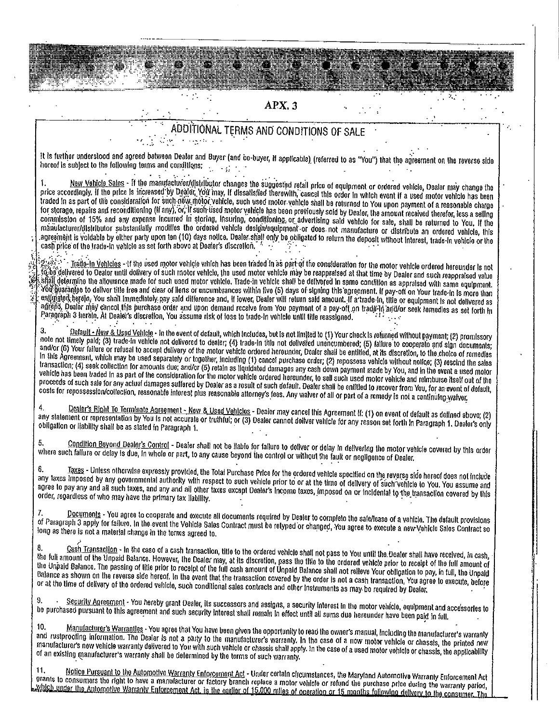# APX<sub>3</sub>

# ADDITIONAL TERMS AND CONDITIONS OF SALE  $\mathcal{L}_{\text{max}}$  ,  $\mathcal{L}_{\text{max}}$

It is further understood and agreed batween Dealer and Buyer (and co-buyer, if applicable) (referred to as "You") that the agreement on the reverse side to a unique procession and agrees sensor sensor and  $\frac{1}{2}$  and  $\frac{1}{2}$ 

New Vehicle Sales - If the manufacturer/distributor changes the suggested retail price of equipment or ordered vehicle, Dealer may change the  $\mathbf{I}$ . price accordingly. If the price is increased by Dealer, You may, if dissalisied therewith, cancel this order in which event if a used motor vehicle has been price accordingly. If the price is increased by Dealer, You may, traded in as part of the consideration for such negotiated vehicle, such used motor vehicle shall be returned to You upon payment of a reasonable charge for storage, repairs and reconditioning (if any), or, if such used motor vehicle has been previously sold by Dealer, the amount received therefor, less a selling commission of 15% and any expense incurred in storing, insuring, conditioning, or advertising said vehicle for sale, shall be returned to You. If the manufacturer/distributor substantially modifies the ordered vehicle design/equipment or does not manufacture or distribute an ordered vehicle, this agreement is voldable by either party upon ten (10) days notice. Dealer shall only be obligated to return the deposit without interest, trade-in vehicle or the cash price of the trade-in vehicle or the cash price of the tr

Trade-In Vehicles - If the used motor vehicle which has been traded in as part of the consideration for the motor vehicle ordered hereunder is not Gobs delivered to Dealer until dolivery of such motor vehicle, the used motor vehicle may be reappraised at that time by Dealer and such reappraised value offeligetermine the allowance made for such used motor vehicle. Trade-in vehicle shall be delivered in same condition as appraised with same equipment. astigiated herein, You shall immediately pay said difference and, if lower, Dealer will return said amount. If a trade-in, title or equipment is not delivered as<br>astigiated herein, You shall immediately pay said difference agregal bealer may cancel this purchase order and upon demand receive from You payment of a pay-off on trade-in and/or seek remedies as set forth in Paragraph 3 herein. At Dealer's discretion, You assume risk of loss to trade-in vehicle until title reassigned.

Default - Naw & Used Vehicle - In the event of default, which includes, but is not limited to (1) Your check is returned without payment; (2) promissory be not and the sealing of the model of delivered to dealer; (4) trade-in this not antiver to compute the model were to compute and the computer of the model of the model of the model of the model of the model of the model vehicle has been traded in as part of the consideration for the motor vehicle ordered hersunder, to sell such used motor vehicle and reimburse itself out of the proceeds of such sale for any actual damages suffered by Dealer as a rosult of such default. Dealer shall be entitled to recover from You, for an event of default, costs for repossession/collection, reasonable interest plus reasonable attorney's fees. Any waiver of all or part of a remedy is not a continuing waiver.

Dealer's Right To Terminate Agreement - New & Used Vehicles - Dealer may cancel this Agreement II: (1) on event of default as defined abovo; (2)  $\overline{\mathbf{4}}$ any statement or representation by You is not accurate or truthful; or (3) Dealer cannot deliver valicle for any reason set forth in Paragraph 1. Dealer's only obligation or liability shall be as slated in Paragraph 1.

Condition Beyond Dealer's Control - Dealer shall not be liable for failure to deliver or delay in delivering the motor vehicle covered by this order 5. where such failure or delay is due, in whole or part, to any cause beyond the control or without the fault or negligence of Dealer.

Taxes - Unless otherwise expressly provided, the Total Purchase Price for the ordered vehicle specified on the reverse side hereof does not include €. any taxes imposed by any governmental authority with respect to such vehicle prior to or at the time of delivery of such vehicle to You. You assume and agree to pay any and all such taxes, and any and all other taxes except Dealer's income taxes, imposed on or incidental to the transaction covered by this order, regardless of who may have the primary tax liability.

Decuments - You agree to cooperate and execute all documents required by Dealer to completo the sale/lease of a vehicle. The default provisions of Paragraph 3 apply for failure, in the event the Vehicle Sales Contract must be relyped or changed, You agree to execute a new Vehicle Sales Contract so long as there is not a material change in the terms agreed to.

Cash Transaction - In the caso of a cash transaction, title to the ordered vehicle shall not pass to You until the Dealer shall have received, in cash, the full amount of the Unpaid Balance. However, the Dealer may, at its discretion, pass the fille to the ordered vehicle prior to receipt of the full amount of the Unpaid Balance. The passing of litle prior to receipt of the full cash amount of Unpaid Balance shall not relieve Your obligation to pay, in full, the Unpaid Balance as shown on the reverse side hereof. In the event that the transaction covered by the order is not a cash transaction. You agree to execute, before or at the time of delivery of the ordered vehicle, such conditional sales contracts and other instruments as may be required by Dealer.

Security Agreament - You hereby grant Dealer, its successors and assigns, a security interest in the motor vehicle, equipment and accessories to 9. be purchased pursuant to this agreement and such security interest shall romain in effect until all sums due hereunder have been paid in full.

Manufacturer's Warrantles - You agree that You have been given the opportunity to read the owner's manual, including the manufacturer's warranty 10 and rustproofing information. The Dealer is not a party to the manufacturer's warranty. In the case of a now motor vehicle or chassis, the printed new manufacturer's new vehicle warranty delivered to You with such vehicle or chassis shall apply. In the case of a used motor vehicle or chassis, the applicability of an existing manufacturer's warranty shall be determined by the terms of such warranty.

11. Notice Pursuant to the Automotive Warranty Enforcement Act - Under certain circumstances, the Maryland Automotive Warranty Enforcement Act<br>grants to consumers the right to have a manufacturer or factory branch replace Which under the Automotive Warranty Enforcement Act, is the earlier of 15,000 miles of operation or 15 months following delivery to the consumer. The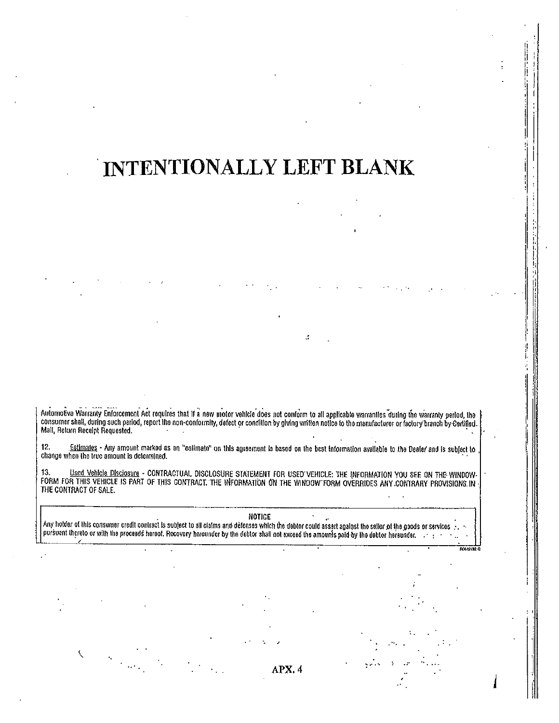# INTENTIONALLY LEFT BLANK

Automotive Warranty Enforcement Act requires that if a new motor vehicle does not conform to all applicable warranties during the warranty period, the<br>consumer shall, during such period, report the non-conformity, defect o

 $12.$ Estimales - Any amount marked as an "estimato" on this agreement is based on the best information available to the Dealer and is subject to change when the true amount is determined.

13. <u>Used Vehicle Disclosure</u> - CONTRACTUAL DISCLOSURE STATEMENT FOR USED VEHICLE: THE INFORMATION YOU SEE ON THE WINDOW-<br>FORM FOR THIS VEHICLE IS PART OF THIS CONTRACT. THE INFORMATION ON THE WINDOW FORM OVERRIDES ANY CON

NOTICE

Any holder of this consumer credit contract is subject to all claims and defenses which the debtor could assert against the seller of the goods or services.<br>pursuant thereto or with the proceeds hereof. Recovery hereunder

APX. 4

 $\overline{\text{m}}$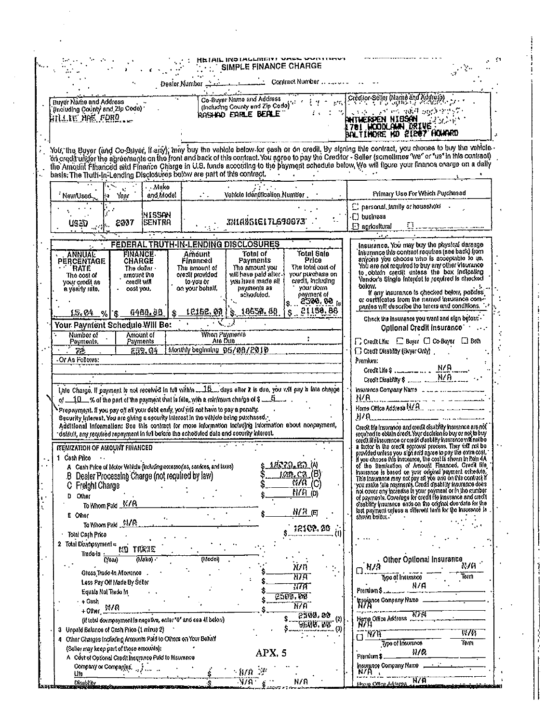|                                                                                                                                                                                                                                                                                                                                                                                         | HEIAIL INDIALLMENT VASS WYNT<br><b>SIMPLE FINANCE CHARGE</b>                                                                                                                                                                                                                                                                                                                                                                                              |                                                                                                                                                                                                                                                                                                                                                                                                                                                                                                                                                                                                                        |
|-----------------------------------------------------------------------------------------------------------------------------------------------------------------------------------------------------------------------------------------------------------------------------------------------------------------------------------------------------------------------------------------|-----------------------------------------------------------------------------------------------------------------------------------------------------------------------------------------------------------------------------------------------------------------------------------------------------------------------------------------------------------------------------------------------------------------------------------------------------------|------------------------------------------------------------------------------------------------------------------------------------------------------------------------------------------------------------------------------------------------------------------------------------------------------------------------------------------------------------------------------------------------------------------------------------------------------------------------------------------------------------------------------------------------------------------------------------------------------------------------|
|                                                                                                                                                                                                                                                                                                                                                                                         |                                                                                                                                                                                                                                                                                                                                                                                                                                                           |                                                                                                                                                                                                                                                                                                                                                                                                                                                                                                                                                                                                                        |
| <b>Buyer Name and Address</b><br>(including County and Zip Code)<br>HILLIE HAE FORD                                                                                                                                                                                                                                                                                                     | (Including County and Address et al., 1997) Creation Seller (Name and Address)<br>rgsho enrle beale"                                                                                                                                                                                                                                                                                                                                                      | $\{x\in\mathbb{R}^d \mathcal{G} <\infty\}$ , and not invariable probability $\mathbb{Z}^d$<br>antherpen Nibsan<br><b>A 701 HOOM AND DRIVE!</b><br>BALTINDRE ND 21207 HOWARD                                                                                                                                                                                                                                                                                                                                                                                                                                            |
| basis. The Truth-In-Lending Disclosures below are part of this contract.                                                                                                                                                                                                                                                                                                                | You, the Buyer (and Co-Buyer, Il any), may buy the vehicle below for eash or on credit. By signing this contract, you choose to buy the vehicle<br>on credit under the agreements on the front and back of this contract. You agree to pay the Creditor - Seller (sometimes 'we' or "us' in this contract)<br>the Amount Financed and Finance Charge in U.S. tunds according to the payment schedule below, We will figure your finance charge on a dally |                                                                                                                                                                                                                                                                                                                                                                                                                                                                                                                                                                                                                        |
| . . Make<br>and Model<br>l⇔ Year<br>'New/Used                                                                                                                                                                                                                                                                                                                                           | Vehicle Identification Number<br>$\mathcal{L}^{\bullet}(\mathcal{L})$                                                                                                                                                                                                                                                                                                                                                                                     | Primary Use For Which Purchased                                                                                                                                                                                                                                                                                                                                                                                                                                                                                                                                                                                        |
| WISSAN<br>$US = 2.41$<br><b>ISENTRA</b>                                                                                                                                                                                                                                                                                                                                                 | XNIANSIEITL690973                                                                                                                                                                                                                                                                                                                                                                                                                                         | ["personal, tamily or household -<br>$\cdot$ Dusiness<br>$\Box$ agricultural                                                                                                                                                                                                                                                                                                                                                                                                                                                                                                                                           |
|                                                                                                                                                                                                                                                                                                                                                                                         |                                                                                                                                                                                                                                                                                                                                                                                                                                                           |                                                                                                                                                                                                                                                                                                                                                                                                                                                                                                                                                                                                                        |
| <b>FINANCE</b><br><b>ANNUAL</b><br>CHARGE<br>PERCENTAGE<br>The dollar -<br>`RATE<br>amount the<br>The cost of<br>credit will<br>your credit as<br>$\cdot$ cost you,<br>a yearly rate.<br>6480.88<br>$15.04$ % $8$                                                                                                                                                                       | FÉDERAL TRUTH IN LENDING DISCLOSURES<br><b>Total Sale</b><br>Total of<br>Amount<br>Price<br>Payments<br>Financed<br>The total cost of<br>The smount you<br>The emount of<br>will have paid after.<br>your purchase on<br>creat provided<br>credit, including<br>you have made all<br>to you or<br>your down<br>payments as<br>on your behalf.<br>schaduled.<br>ho knemyso<br>2500.00 is<br>\$12152.00 \\$10530.50 \\$21150.80                             | Insurance. You may buy the physical damage<br>Insurance this contract requires (see back) from<br>anyone you choose who is acceptable to us.<br>You are not required to buy any other visurance<br>to obtain credit unless the box indicating<br>Vendor's Single Interest is required is checked<br>bolovi.<br>If any insurance is checked below, polides<br>or outlicates from the named insurance com--<br>pantes will describe the terms and conditions.<br>Check the insurance you want and sign below.                                                                                                            |
| Your Payment Schedule Will Be:<br>Amount of<br>Number of<br>Payments<br>Payments.<br>72.<br>£19.04<br>Or As Follows:                                                                                                                                                                                                                                                                    | When Payments<br>Ate Due<br>Monthly beginning 05/08/2010                                                                                                                                                                                                                                                                                                                                                                                                  | Optional Credit insurance Contact<br>□ Credit Ufe: □ Buyer □ Co-Buyer □ Both<br>G Credit Disability (Buyer Only).<br>Prendum:                                                                                                                                                                                                                                                                                                                                                                                                                                                                                          |
| of $10$ % of the part of the payment that is fale, with a minimum charge of $\sim$ 5<br>Prepayment. If you pay off all your debt early, you will not have to pay a penalty.<br>Security Interest, You are giving a security Interest in the vahicle being purchased.<br>default, any required repayment in full before the scheduled date and security interest.                        | Late Charge. If payment is not received in tul vithin  days after it is due, you will pay in this charge<br>Additional Information: See this contract for more information including information about nonpayment,                                                                                                                                                                                                                                        | Insurance Company Name and an account to the<br>Home Office Address N/A<br>H/A<br>Crecit ide insurance and credit disability insurance are not<br>required to obtain credit. Your decision to buy or not to buy                                                                                                                                                                                                                                                                                                                                                                                                        |
| ITEMIZATION OF AMOUNT FINANCED<br>1 Cash Pico<br>A Cash Pilce of Motor Vehicle (including accessories, services, and lares)<br>B Dealer Processing Charge (not required by law)<br>Freight Charge<br><b>Outer</b><br>D.<br>To Whom Pald K/A<br>E Oher<br>To Whom Pald N/R                                                                                                               | <u>1833.RD</u> (4<br><u>lon, ca. (8)</u><br>$\overline{M}$ <sup>(C)</sup><br>$H/H$ (0)<br><u>N/A (</u> च<br>12102.20                                                                                                                                                                                                                                                                                                                                      | credit Helmswerce or credit disability insurance will not be<br>a lactor in the credit sockoval process. They vill not be<br>provided unless you sign and agree to pay the extra cost.<br>If you choose this insurance, the cost is shown in Rein 4A.<br>of the Remization of Amount Financed. Credit file<br>insurance is based on your original payment schedule.<br>Final means is easied with your independent with the same product of the payments. Credit disability insurance does not cover any inconsistent of credit disability insurance does not cover any inconsistent of the payment o<br>shaka below " |
| Total Cash Price<br>2 Total Downpayment =<br>nd tixhe<br>Trece-In<br>(Mako) -<br>(Year)<br>Gross Trade In Aforrance<br>Less Pay Off Made By Seler<br>Equals Not Trade In<br>- + Gash<br>+Other $M/R$<br>(if total downpsyment is negative, enter "0" and sea 41 below)<br>3 Unpaid Balance of Cash Price (1 minus 2)<br>4 Other Charges Including Amounts Paid to Others on Your Behalf | () (odel)<br>חשו<br>११७स<br>ताम<br>2500.00<br>ករកា<br>2500,00<br>$^{(2)}$<br>SGAS. UT                                                                                                                                                                                                                                                                                                                                                                     | Other Optional Insurance<br>87A<br>ิย/ล<br>Tern<br>Type of Insurance<br>n/A<br>Premium \$<br>insulance Company Name<br>NY A<br>NFA<br>Home Office Address<br>N/H<br><b>R78</b><br><b>EWL</b><br>Term<br><b>Type of Insurance</b>                                                                                                                                                                                                                                                                                                                                                                                       |
| (Seller may keep part of these emounts):<br>A Cost of Optional Credit Insurance Paid to Insurance<br>Company or Companies, 2013<br><u>Ufe</u><br><b>Disablity</b>                                                                                                                                                                                                                       | APX. 5<br>$-9/0$ $\gg$<br>ิ พ.ศ.<br>N/A                                                                                                                                                                                                                                                                                                                                                                                                                   | N/R<br>Premium \$<br>Insurgace Company Name<br>Ñ/A.<br>H/A<br>Home Office Address and m                                                                                                                                                                                                                                                                                                                                                                                                                                                                                                                                |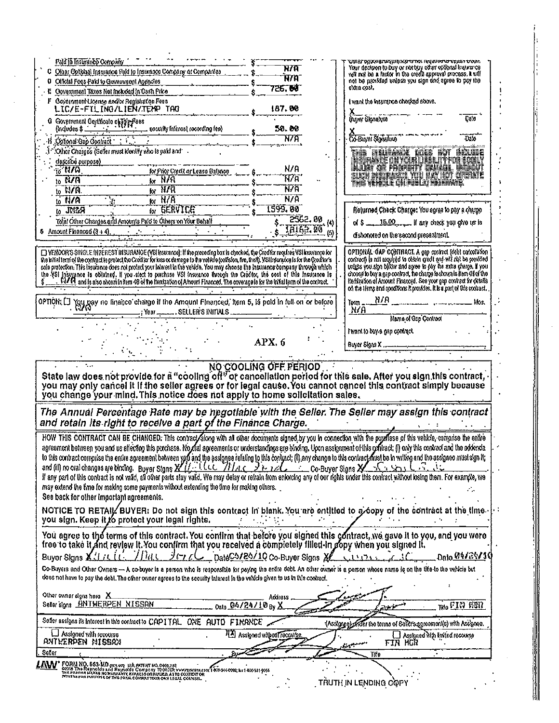| Paid to Instituting Octronity                                                                                                                                                                                                                                                                                     | ਮ7ਸ                             | YINBI DYUXNBITUTANG NGOTOT NG UNU BOTOT KUMAN DONNA<br>Your decision to buy or not buy other collored ensurance                            |
|-------------------------------------------------------------------------------------------------------------------------------------------------------------------------------------------------------------------------------------------------------------------------------------------------------------------|---------------------------------|--------------------------------------------------------------------------------------------------------------------------------------------|
| Other Optional Insurance Paki to Insurance Company of Companies<br>Official Fogs-Paid to Government Agencies<br>o                                                                                                                                                                                                 | .<br>H/A                        | we not be a factor in the credit entireval process. It will<br>not be provided unlass you sign and egree to psy the                        |
| Opvernment Taxes Not included in Cash Price                                                                                                                                                                                                                                                                       | 726. BO                         | extra cost.                                                                                                                                |
| Covernment License and/or Registration Fees<br>F                                                                                                                                                                                                                                                                  |                                 | I want the Institution checked above,                                                                                                      |
| LIC/E-FILING/LIEN/TENP TAG                                                                                                                                                                                                                                                                                        | 187, 88                         |                                                                                                                                            |
| Government Gertificato of Torp Fees                                                                                                                                                                                                                                                                               |                                 | Buyer Signature<br>Date                                                                                                                    |
| tecurity interest recording fee)                                                                                                                                                                                                                                                                                  | 58.08                           |                                                                                                                                            |
| Optonal Gap Contract : :                                                                                                                                                                                                                                                                                          | <b>N/A</b>                      | <b>Co-Buyei Signalute</b><br>$\overline{\text{M6}}$                                                                                        |
| Other Charges (Seller must identify who is paid and                                                                                                                                                                                                                                                               |                                 | <b>HERWEGPORTHUP</b>                                                                                                                       |
| describé purpose)<br>$\overline{6}$ N/A                                                                                                                                                                                                                                                                           | N/A                             | NAM OF PROBIT BARING                                                                                                                       |
| for Prior Credit or Lease Balance<br><b>NVA</b><br>$\mathsf{for} \mathbb{R}$                                                                                                                                                                                                                                      | 177a                            | ELET NETAKOLYO HALIET GEOSTE                                                                                                               |
| Ìà.<br>$\overline{M}$ kr $\overline{M}$<br>$10$ N/A.                                                                                                                                                                                                                                                              | ሸንቫ                             | TA YKSE CIFIKOJ KIRKIS.                                                                                                                    |
| for N/A<br>$10$ $R/A$                                                                                                                                                                                                                                                                                             | N/A                             |                                                                                                                                            |
| for <b>EERVICE</b><br>$10 \sqrt{N}$                                                                                                                                                                                                                                                                               | 1599.80                         | Relurned Check Charge: You sores to pay a charge                                                                                           |
| Total Other Charges and Amounts Paid to Others on Your Behalf                                                                                                                                                                                                                                                     | $2562.89$ (4)                   | of $$ -15.00$ If any check you give us is                                                                                                  |
| <b>6</b> Amount Financed $(3 + 4)$ .                                                                                                                                                                                                                                                                              | THIRE 00 (5)                    | dishanated on the second presentment.                                                                                                      |
|                                                                                                                                                                                                                                                                                                                   |                                 |                                                                                                                                            |
| [ YENDOR'S SINGLE INTEREST INSURANCE (VSI Insurance). If the preceding box is checked, the Creditor regules VSI Insurance for                                                                                                                                                                                     |                                 | OPTIONAL GAP CONTRACT. A cap control (debt cancelation                                                                                     |
| Vie hital terri of the contract to protect the Creditor for loss or damage to the vehicle (collision, fire, theft). VSH retrained is for the Creditor's<br>solo protection. This trisurance does not protect your interest in the vehicle. You may choose the insurance company through which                     |                                 | to the world in the loop risk of ballyou ion of (berince<br>unless you sign befor and agree to pay the extra sharge. If you                |
| the VSI Insurance is obtained. If you clear to purchase VSI insurance everyth the Creditor, the cost of this Insurance is                                                                                                                                                                                         |                                 | choose in buy a gap contract, the charge is shown in item 4H of the                                                                        |
| $N/R$ and is also shown in Rem 48 of the Remization of Amount Financed. The coverage is for the Initial term of the contract.                                                                                                                                                                                     |                                 | Heritzation of Amount Financed. See your gap contract for details<br>on the limp and conditions it provides. It is a part of life cochact. |
|                                                                                                                                                                                                                                                                                                                   |                                 | អវអ                                                                                                                                        |
| OPTION: [] You pay no finance charge if the Amount Financed, item 5, is puld in full on or before<br>Year  SELLER'S INITIALS                                                                                                                                                                                      |                                 | Term<br>Mos.<br>χ√a                                                                                                                        |
|                                                                                                                                                                                                                                                                                                                   |                                 | Name of Gap Contract                                                                                                                       |
|                                                                                                                                                                                                                                                                                                                   |                                 | I want to buy a gap convact.                                                                                                               |
|                                                                                                                                                                                                                                                                                                                   | APX, 6                          |                                                                                                                                            |
|                                                                                                                                                                                                                                                                                                                   |                                 | Buyer Signs X                                                                                                                              |
| State law does not provide for a "cooling off" or cancellation period for this sale. After you sign this contract,<br>you may only cancel it if the seller agrees or for legal cause. You cannot cancel this contract simply beca<br>you change your mind. This notice does not apply to home solicitation sales. |                                 |                                                                                                                                            |
| The Annual Percentage Rate may be negotiable with the Seller. The Seller may assign this contract<br>and retain its right to receive a part of the Finance Charge.                                                                                                                                                |                                 |                                                                                                                                            |
| HOW THIS CONTRACT CAN BE CHANGED. This contract along with an other documents signed by you in connection with the purefase of this vehicle, comprise the entire                                                                                                                                                  |                                 |                                                                                                                                            |
| agreement between you and us affecting this purchase. No mal agreements or understandings are binding. Upon assignment of this contract, (i) only this contract and the addenda                                                                                                                                   |                                 |                                                                                                                                            |
| to this contract compiles the entire agreement between you and the assigned relating to this contract, (ii) any change to this contract must be in within and the assigned must sign it;<br>and (iii) no oral changes are binding                                                                                 |                                 |                                                                                                                                            |
|                                                                                                                                                                                                                                                                                                                   |                                 |                                                                                                                                            |
| if any part of this contract is not valid, all other parts stay valid. We may delay or refrain from enforcing any of our rights under this contract without losing them. For example, we                                                                                                                          |                                 |                                                                                                                                            |
| may extend the time for making some payments without extending the time for making others.                                                                                                                                                                                                                        |                                 |                                                                                                                                            |
| See back for other important agreements.                                                                                                                                                                                                                                                                          |                                 |                                                                                                                                            |
| . NOTICE TO RETAIL∕ BUYER: Do not sign this contract in blank. You are entitled to a ∕oopy of the contract at the time                                                                                                                                                                                            |                                 |                                                                                                                                            |
| you sign. Keep it to protect your legal rights.                                                                                                                                                                                                                                                                   |                                 |                                                                                                                                            |
| You agree to the terms of this contract. You confirm that before you signed this contract, we gave it to you, and you were                                                                                                                                                                                        |                                 |                                                                                                                                            |
| free to take it and review it. You confirm that you received a completely filled-in gopy when you signed it.                                                                                                                                                                                                      |                                 |                                                                                                                                            |
| Thue<br>$J$ (~ $\sim$ DateC3/20/10 Co-Buyer Signs XL<br>Buyer Signs X.I.IL.LL.                                                                                                                                                                                                                                    |                                 | Date 04/24/10<br>$\sim 13.78 \times$                                                                                                       |
| Co-Buyers and Other Owners - A co-buyer is a person who is responsible for paying the entire debt. An other owner is a person whose name is on the tite to the vericle but                                                                                                                                        |                                 |                                                                                                                                            |
| does not have to pay the debt. The other owner agrees to the security Interest in the vehicle given to us in this contract.                                                                                                                                                                                       |                                 |                                                                                                                                            |
| Other owner eigns here X                                                                                                                                                                                                                                                                                          | Address                         |                                                                                                                                            |
| Seler sions HNTHERPEN NISSAN<br><sub>Date</sub> 94/24/10 <sub>By</sub> X                                                                                                                                                                                                                                          |                                 | m. <b>FIN 1881</b>                                                                                                                         |
| Sofer assigns its interest in this contract to CAPITAL ONE AUTO FINANCE                                                                                                                                                                                                                                           |                                 | (Assignee) where the terms of Selers agreement(s) with Assignee.                                                                           |
| Assigned with recourse                                                                                                                                                                                                                                                                                            | AM Assigned with coll recourse. | $\Box$ Assigned with invied recourse                                                                                                       |
| ANTERPEN NISSAN                                                                                                                                                                                                                                                                                                   |                                 |                                                                                                                                            |
| Seter                                                                                                                                                                                                                                                                                                             |                                 | fin hur<br>سهيم                                                                                                                            |
|                                                                                                                                                                                                                                                                                                                   |                                 | Tife                                                                                                                                       |
| <b>LAWY</b> FORM NO. 653-140 per un un potent NO.0103.712<br>EXPLORATION CONTAINED RESIDENT TO CONTAIN CONTENTION TOGOGLOSS Rel 200-511 9755<br>The Exploration of Marking Expression IVI USA AS TO CONTENT OR THE CONSEL THAT A THE CONT                                                                         |                                 | TRUTH IN LENDING COPY                                                                                                                      |

 $\begin{pmatrix} 1 \\ 1 \\ 1 \\ 1 \end{pmatrix}$ 

 $\begin{array}{c}\n\bullet \\
\bullet \\
\bullet \\
\bullet \\
\bullet \\
\bullet \\
\bullet\n\end{array}$ 

<u> Start de Bernard de la propietat de la propietat de la propietat de la propietat de la propietat de la propie</u>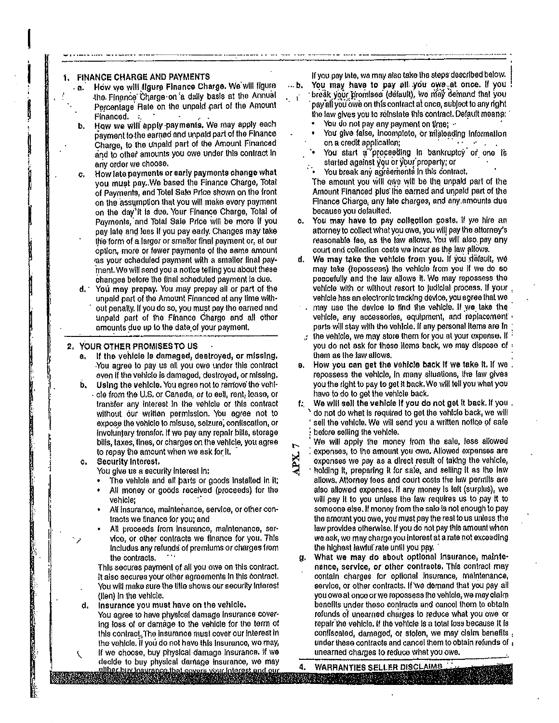#### **FINANCE CHARGE AND PAYMENTS** 1.

- How we will figure Finance Charge. We will figure  $\cdot$  a. the Finance Charge on a dally basis at the Annual Percentage Rate on the unpaid part of the Amount Financed.
- How we will apply payments. We may apply each ь. payment to the earned and unpaid part of the Finance Charge, to the unpaid part of the Amount Financed and to other amounts you owe under this contract in any order we choose.
- How late payments or early payments change what ċ. you must pay. We based the Finance Charge, Total of Payments, and Totel Sale Price shown on the front on the assumption that you will make every payment on the day'it is due. Your Finance Charge, Total of Payments, and Total Sale Price will be more if you pay late and less if you pay early. Changes may take the form of a larger or smaller final payment or, at our option, more or fewer payments of the same amount as your echeduled payment with a smaller final payment. We will send you a notice telling you about these changes before the final scheduled payment is due.
- $d.$ You may propay. You may prepay all or part of the unpaid part of the Amount Financed at any time without penally. If you do so, you must pay the earned and unpaid part of the Finance Charge and all other amounts due up to the date of your payment.

#### 2. YOUR OTHER PROMISES TO US

- If the vehicle is damaged, destroyed, or missing. а. You agree to pay us all you owe under this contract even if the vehicle is damaged, destroyed, or missing.
- Using the vehicle. You agree not to remove the vohib. cle from the U.S. or Canada, or to eell, rent, lease, or transfer any interest in the vehicle or this contract without our written permission. You agree not to expose the vehicle to misuse, seizure, confiscation, or involuntary transfor. If we pay any repair bills, storage bills, taxes, fines, or charges on the vehicle, you agree to repay the amount when we ask for it.

#### **Security Interest.** c.

You give us a security interest in:

- The vehicle and all parts or goods installed in it;
- All money or goods received (proceeds) for the vehicle:
- All insurance, maintenance, service, or other contracts we finance for you; and
- All proceeds from insurance, maintenance, service, or other contracts we finance for you. This includes any refunds of premiums or charges from the contracts.

This secures payment of all you owe on this contract. It also secures your other agreements in this contract. You will make sure the title shows our security interest (lien) in the vehicle.

- d. Insurance you must have on the vehicle.
	- You agree to have physical damage insurance covering loss of or damage to the vehicle for the term of this contract. The insurance must cover our interest in the vohicle. If you do not have this insurance, we may,
- if we choose, buy physical damage insurance. If we decide to buy physical damage insurance, we may

If you pay late, we may also take the steps described below. You may have to pay all you owe at once. If you break your promises (default), we may demand that you

- pay all you owe on this contract at once, subject to any right the law gives you to reinstate this contract. Default means:
	- You do not pay any payment on time; -

... b.

. 1

- You give false, incomplete, or misleading information on a credit application:
- You start a proceeding in bankruptcy or one is started against you or your property; or
- You break any agreements in this contract. The amount you will owe will be the unpaid part of the Amount Financed plus the earned and unpaid part of the Finance Charge, any late charges, and any amounts due because you defaulted.
- You may have to pay collection costs, if yie hire an c. attorney to collect what you owe, you will pay the attorney's reasonable fee, as the law allows. You will also pay any court and collection costs we incur as the law allows.
- We may take the vehicle from you. If you detault, we d. may take (repossess) the vehicle from you if we do so peacefully and the law allows it. We may repossess the vehicle with or without resort to judicial process. If your vehicle has an electronic tracking device, you agree that we
- may use the device to find the vehicle. If we take the vehicle, any accessories, equipment, and replacement parts will stay with the vehicle. If any personal items are in
- $\therefore$  the vehicle, we may store them for you at your expense. If  $\therefore$ you do not ask for these items back, we may dispose of : them as the law allows.
- How you can get the vehicle back if we take it. If we . в. repossess the vehicle, in many situations, the law gives you the right to pay to get it back. We will tell you what you have to do to get the vehicle back.
- f: We will sell the vehicle if you do not get it back. If you.<br>No not do what is required to get the vehicle back, we will sell the vehicle. We will send you a written notice of sale before selling the vehicle.
- We will apply the money from the sale, less allowed expenses, to the amount you owe. Allowed expenses are expenses we pay as a direct result of taking the vehicle, holding it, preparing it for sale, and selling it as the law allows. Attorney fees and court costs the law permills are also allowed expenses. If any money is left (surplus), we will pay it to you unless the law requires us to pay it to someone else. If money from the sale is not enough to pay the amount you owe, you must pay the rest to us unless the law provides otherwise. If you do not pay this amount when we ask, we may charge you interest at a rate not exceeding the highest lawful rate until you pay.
- What we may do about optional insurance, mainteα. nance, service, or other contracts. This contract may contain charges for optional insurance, maintenance, service, or other contracts. If we demand that you pay all you owe at once or we repossess the vehicle, we may claim benofits under theso contracts and cancel them to obtain refunds of unearned charges to reduce what you owe or repair the vehicle. If the vehicle is a total loss because it is confiscated, damaged, or stolen, we may claim benefits . under these contracts and cancel them to obtain refunds of a unearned charges to reduce what you owe.

**WARRANTIES SELLER DISCLAIMS** 4.

either buy insurance that covers your interest and our<br>his statements of the covers your interest and our